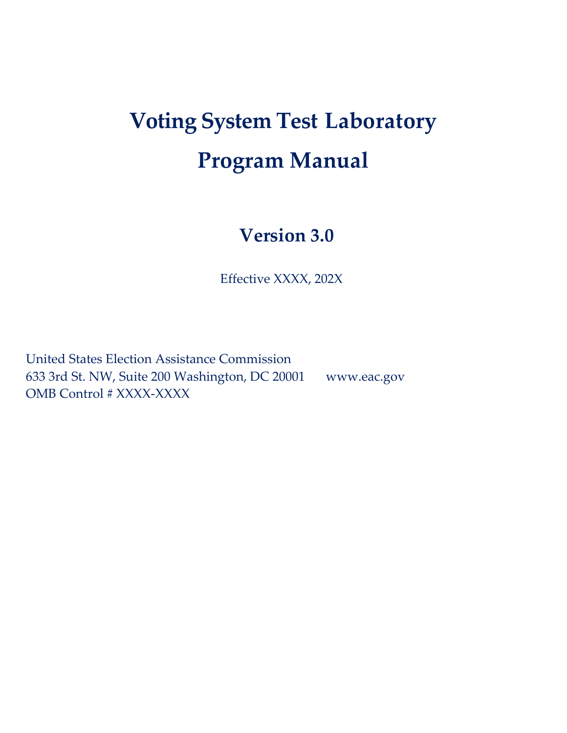# **Voting System Test Laboratory Program Manual**

# **Version 3.0**

Effective XXXX, 202X

United States Election Assistance Commission 633 3rd St. NW, Suite 200 Washington, DC 20001 www.eac.gov OMB Control # XXXX-XXXX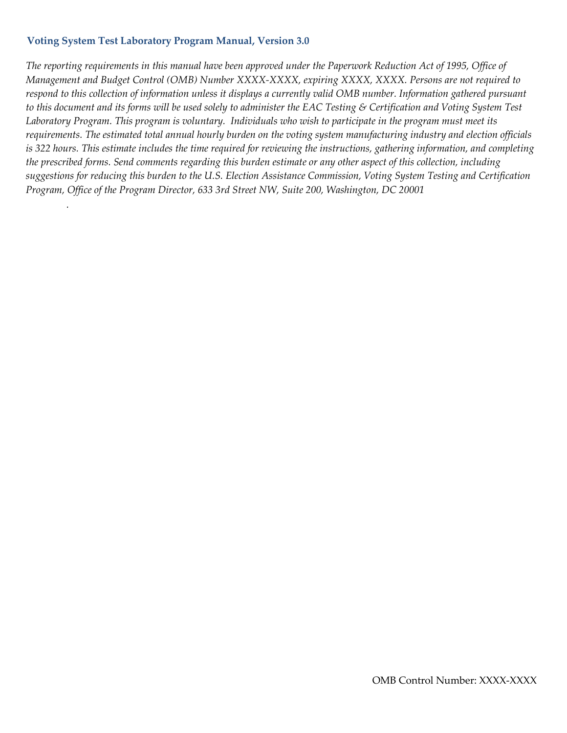*.*

The reporting requirements in this manual have been approved under the Paperwork Reduction Act of 1995, Office of *Management and Budget Control (OMB) Number XXXX-XXXX, expiring XXXX, XXXX. Persons are not required to respond to this collection of information unless it displays a currently valid OMB number. Information gathered pursuant to this document and its forms will be used solely to administer the EAC Testing & Certification and Voting System Test Laboratory Program. This program is voluntary. Individuals who wish to participate in the program must meet its requirements. The estimated total annual hourly burden on the voting system manufacturing industry and election officials is 322 hours. This estimate includes the time required for reviewing the instructions, gathering information, and completing the prescribed forms. Send comments regarding this burden estimate or any other aspect of this collection, including suggestions for reducing this burden to the U.S. Election Assistance Commission, Voting System Testing and Certification Program, Office of the Program Director, 633 3rd Street NW, Suite 200, Washington, DC 20001*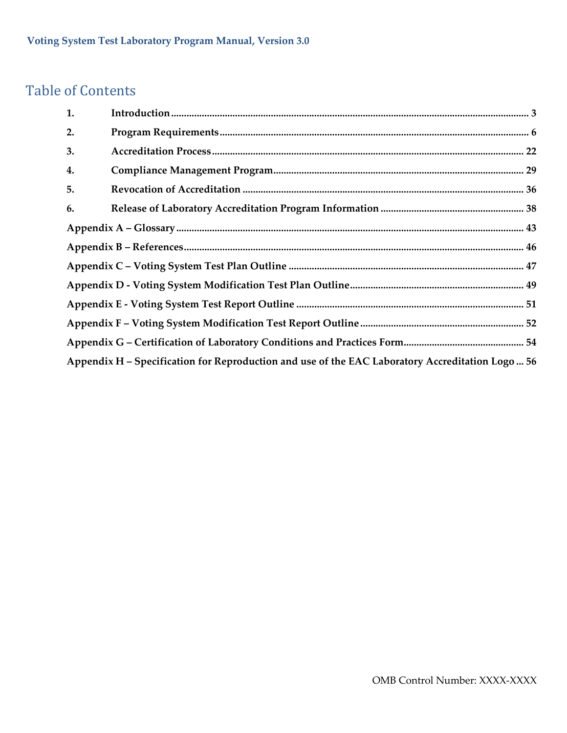### Table of Contents

| 1. |                                                                                                  |  |
|----|--------------------------------------------------------------------------------------------------|--|
| 2. |                                                                                                  |  |
| 3. |                                                                                                  |  |
| 4. |                                                                                                  |  |
| 5. |                                                                                                  |  |
| 6. |                                                                                                  |  |
|    |                                                                                                  |  |
|    |                                                                                                  |  |
|    |                                                                                                  |  |
|    |                                                                                                  |  |
|    |                                                                                                  |  |
|    |                                                                                                  |  |
|    |                                                                                                  |  |
|    | Appendix H - Specification for Reproduction and use of the EAC Laboratory Accreditation Logo  56 |  |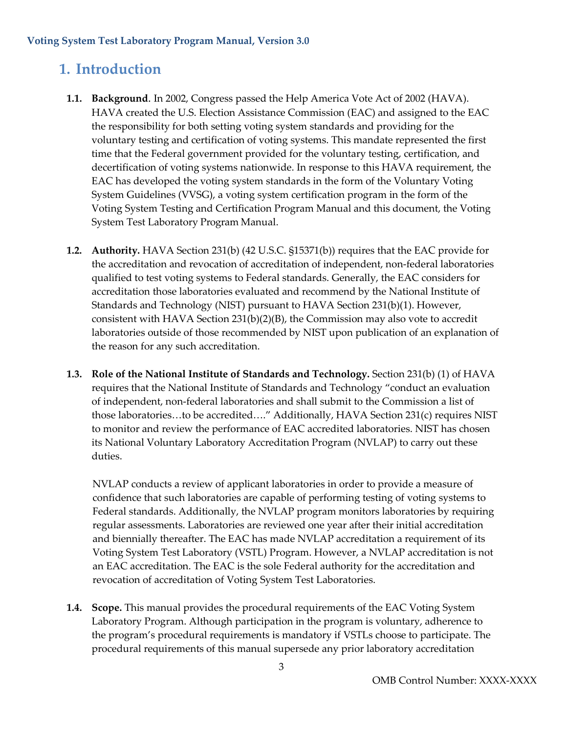### <span id="page-3-0"></span>**1. Introduction**

- **1.1. Background**. In 2002, Congress passed the Help America Vote Act of 2002 (HAVA). HAVA created the U.S. Election Assistance Commission (EAC) and assigned to the EAC the responsibility for both setting voting system standards and providing for the voluntary testing and certification of voting systems. This mandate represented the first time that the Federal government provided for the voluntary testing, certification, and decertification of voting systems nationwide. In response to this HAVA requirement, the EAC has developed the voting system standards in the form of the Voluntary Voting System Guidelines (VVSG), a voting system certification program in the form of the Voting System Testing and Certification Program Manual and this document, the Voting System Test Laboratory Program Manual.
- **1.2. Authority.** HAVA Section 231(b) (42 U.S.C. §15371(b)) requires that the EAC provide for the accreditation and revocation of accreditation of independent, non-federal laboratories qualified to test voting systems to Federal standards. Generally, the EAC considers for accreditation those laboratories evaluated and recommend by the National Institute of Standards and Technology (NIST) pursuant to HAVA Section 231(b)(1). However, consistent with HAVA Section 231(b)(2)(B), the Commission may also vote to accredit laboratories outside of those recommended by NIST upon publication of an explanation of the reason for any such accreditation.
- **1.3. Role of the National Institute of Standards and Technology.** Section 231(b) (1) of HAVA requires that the National Institute of Standards and Technology "conduct an evaluation of independent, non-federal laboratories and shall submit to the Commission a list of those laboratories…to be accredited…." Additionally, HAVA Section 231(c) requires NIST to monitor and review the performance of EAC accredited laboratories. NIST has chosen its National Voluntary Laboratory Accreditation Program (NVLAP) to carry out these duties.

NVLAP conducts a review of applicant laboratories in order to provide a measure of confidence that such laboratories are capable of performing testing of voting systems to Federal standards. Additionally, the NVLAP program monitors laboratories by requiring regular assessments. Laboratories are reviewed one year after their initial accreditation and biennially thereafter. The EAC has made NVLAP accreditation a requirement of its Voting System Test Laboratory (VSTL) Program. However, a NVLAP accreditation is not an EAC accreditation. The EAC is the sole Federal authority for the accreditation and revocation of accreditation of Voting System Test Laboratories.

**1.4. Scope.** This manual provides the procedural requirements of the EAC Voting System Laboratory Program. Although participation in the program is voluntary, adherence to the program's procedural requirements is mandatory if VSTLs choose to participate. The procedural requirements of this manual supersede any prior laboratory accreditation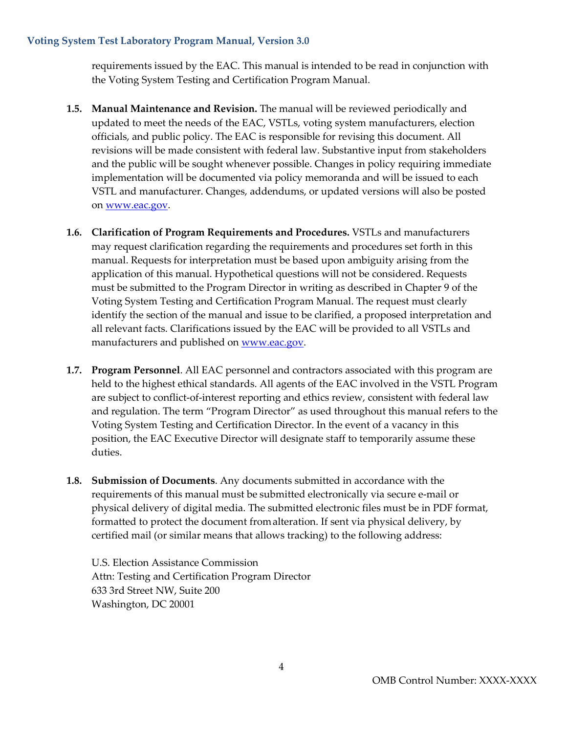requirements issued by the EAC. This manual is intended to be read in conjunction with the Voting System Testing and Certification Program Manual.

- **1.5. Manual Maintenance and Revision.** The manual will be reviewed periodically and updated to meet the needs of the EAC, VSTLs, voting system manufacturers, election officials, and public policy. The EAC is responsible for revising this document. All revisions will be made consistent with federal law. Substantive input from stakeholders and the public will be sought whenever possible. Changes in policy requiring immediate implementation will be documented via policy memoranda and will be issued to each VSTL and manufacturer. Changes, addendums, or updated versions will also be posted on [www.eac.gov.](http://www.eac.gov/)
- **1.6. Clarification of Program Requirements and Procedures.** VSTLs and manufacturers may request clarification regarding the requirements and procedures set forth in this manual. Requests for interpretation must be based upon ambiguity arising from the application of this manual. Hypothetical questions will not be considered. Requests must be submitted to the Program Director in writing as described in Chapter 9 of the Voting System Testing and Certification Program Manual. The request must clearly identify the section of the manual and issue to be clarified, a proposed interpretation and all relevant facts. Clarifications issued by the EAC will be provided to all VSTLs and manufacturers and published on [www.eac.gov.](http://www.eac.gov/)
- **1.7. Program Personnel**. All EAC personnel and contractors associated with this program are held to the highest ethical standards. All agents of the EAC involved in the VSTL Program are subject to conflict-of-interest reporting and ethics review, consistent with federal law and regulation. The term "Program Director" as used throughout this manual refers to the Voting System Testing and Certification Director. In the event of a vacancy in this position, the EAC Executive Director will designate staff to temporarily assume these duties.
- **1.8. Submission of Documents**. Any documents submitted in accordance with the requirements of this manual must be submitted electronically via secure e-mail or physical delivery of digital media. The submitted electronic files must be in PDF format, formatted to protect the document fromalteration. If sent via physical delivery, by certified mail (or similar means that allows tracking) to the following address:

U.S. Election Assistance Commission Attn: Testing and Certification Program Director 633 3rd Street NW, Suite 200 Washington, DC 20001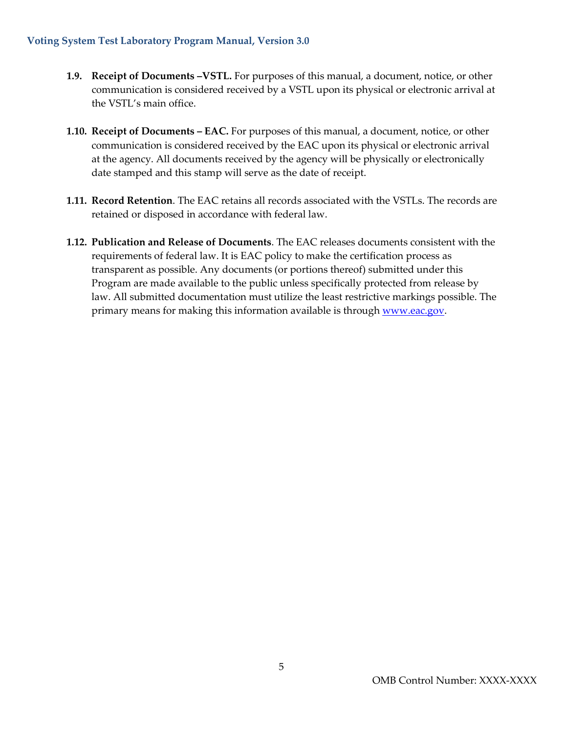- **1.9. Receipt of Documents –VSTL.** For purposes of this manual, a document, notice, or other communication is considered received by a VSTL upon its physical or electronic arrival at the VSTL's main office.
- **1.10. Receipt of Documents – EAC.** For purposes of this manual, a document, notice, or other communication is considered received by the EAC upon its physical or electronic arrival at the agency. All documents received by the agency will be physically or electronically date stamped and this stamp will serve as the date of receipt.
- **1.11. Record Retention**. The EAC retains all records associated with the VSTLs. The records are retained or disposed in accordance with federal law.
- **1.12. Publication and Release of Documents**. The EAC releases documents consistent with the requirements of federal law. It is EAC policy to make the certification process as transparent as possible. Any documents (or portions thereof) submitted under this Program are made available to the public unless specifically protected from release by law. All submitted documentation must utilize the least restrictive markings possible. The primary means for making this information available is through [www.eac.gov.](http://www.eac.gov/)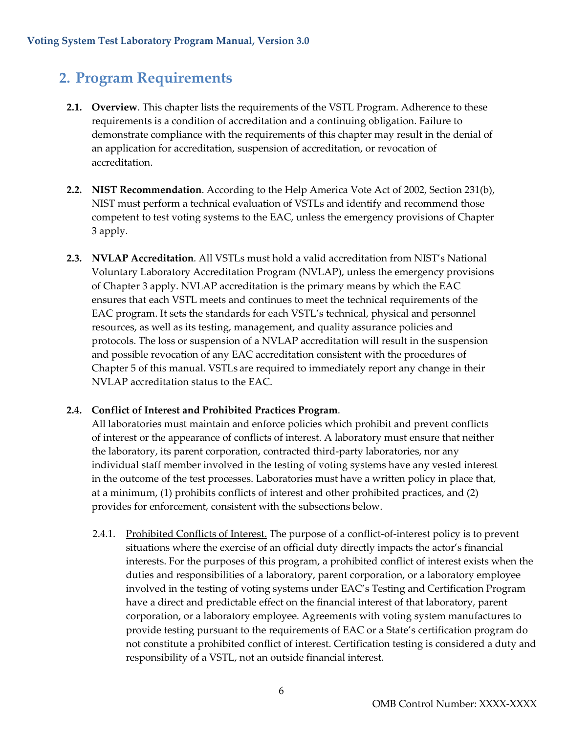### <span id="page-6-0"></span>**2. Program Requirements**

- **2.1. Overview**. This chapter lists the requirements of the VSTL Program. Adherence to these requirements is a condition of accreditation and a continuing obligation. Failure to demonstrate compliance with the requirements of this chapter may result in the denial of an application for accreditation, suspension of accreditation, or revocation of accreditation.
- **2.2. NIST Recommendation**. According to the Help America Vote Act of 2002, Section 231(b), NIST must perform a technical evaluation of VSTLs and identify and recommend those competent to test voting systems to the EAC, unless the emergency provisions of Chapter 3 apply.
- **2.3. NVLAP Accreditation**. All VSTLs must hold a valid accreditation from NIST's National Voluntary Laboratory Accreditation Program (NVLAP), unless the emergency provisions of Chapter 3 apply. NVLAP accreditation is the primary means by which the EAC ensures that each VSTL meets and continues to meet the technical requirements of the EAC program. It sets the standards for each VSTL's technical, physical and personnel resources, as well as its testing, management, and quality assurance policies and protocols. The loss or suspension of a NVLAP accreditation will result in the suspension and possible revocation of any EAC accreditation consistent with the procedures of Chapter 5 of this manual. VSTLs are required to immediately report any change in their NVLAP accreditation status to the EAC.

#### **2.4. Conflict of Interest and Prohibited Practices Program**.

All laboratories must maintain and enforce policies which prohibit and prevent conflicts of interest or the appearance of conflicts of interest. A laboratory must ensure that neither the laboratory, its parent corporation, contracted third-party laboratories, nor any individual staff member involved in the testing of voting systems have any vested interest in the outcome of the test processes. Laboratories must have a written policy in place that, at a minimum, (1) prohibits conflicts of interest and other prohibited practices, and (2) provides for enforcement, consistent with the subsections below.

2.4.1. Prohibited Conflicts of Interest. The purpose of a conflict-of-interest policy is to prevent situations where the exercise of an official duty directly impacts the actor's financial interests. For the purposes of this program, a prohibited conflict of interest exists when the duties and responsibilities of a laboratory, parent corporation, or a laboratory employee involved in the testing of voting systems under EAC's Testing and Certification Program have a direct and predictable effect on the financial interest of that laboratory, parent corporation, or a laboratory employee*.* Agreements with voting system manufactures to provide testing pursuant to the requirements of EAC or a State's certification program do not constitute a prohibited conflict of interest. Certification testing is considered a duty and responsibility of a VSTL, not an outside financial interest.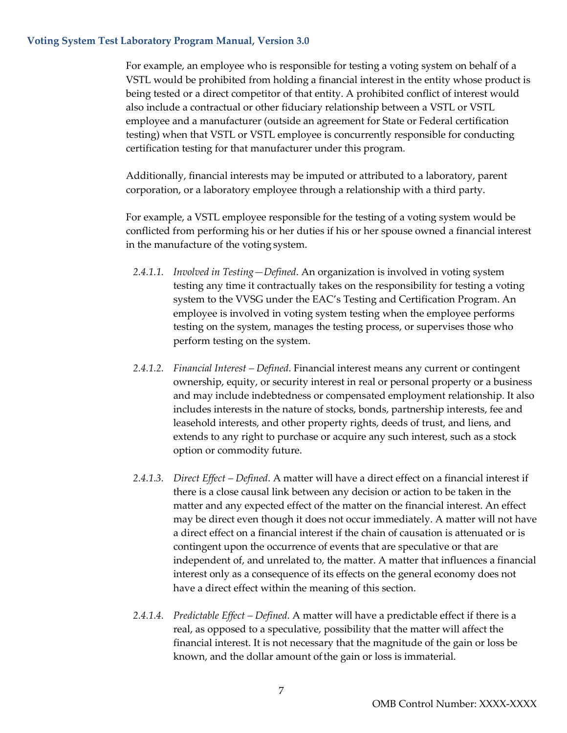For example, an employee who is responsible for testing a voting system on behalf of a VSTL would be prohibited from holding a financial interest in the entity whose product is being tested or a direct competitor of that entity. A prohibited conflict of interest would also include a contractual or other fiduciary relationship between a VSTL or VSTL employee and a manufacturer (outside an agreement for State or Federal certification testing) when that VSTL or VSTL employee is concurrently responsible for conducting certification testing for that manufacturer under this program*.*

Additionally, financial interests may be imputed or attributed to a laboratory, parent corporation, or a laboratory employee through a relationship with a third party.

For example, a VSTL employee responsible for the testing of a voting system would be conflicted from performing his or her duties if his or her spouse owned a financial interest in the manufacture of the voting system.

- *2.4.1.1. Involved in Testing—Defined*. An organization is involved in voting system testing any time it contractually takes on the responsibility for testing a voting system to the VVSG under the EAC's Testing and Certification Program. An employee is involved in voting system testing when the employee performs testing on the system, manages the testing process, or supervises those who perform testing on the system.
- *2.4.1.2. Financial Interest – Defined*. Financial interest means any current or contingent ownership, equity, or security interest in real or personal property or a business and may include indebtedness or compensated employment relationship. It also includes interests in the nature of stocks, bonds, partnership interests, fee and leasehold interests, and other property rights, deeds of trust, and liens, and extends to any right to purchase or acquire any such interest, such as a stock option or commodity future.
- *2.4.1.3. Direct Effect – Defined*. A matter will have a direct effect on a financial interest if there is a close causal link between any decision or action to be taken in the matter and any expected effect of the matter on the financial interest. An effect may be direct even though it does not occur immediately. A matter will not have a direct effect on a financial interest if the chain of causation is attenuated or is contingent upon the occurrence of events that are speculative or that are independent of, and unrelated to, the matter. A matter that influences a financial interest only as a consequence of its effects on the general economy does not have a direct effect within the meaning of this section.
- *2.4.1.4. Predictable Effect – Defined*. A matter will have a predictable effect if there is a real, as opposed to a speculative, possibility that the matter will affect the financial interest. It is not necessary that the magnitude of the gain or loss be known, and the dollar amount ofthe gain or loss is immaterial.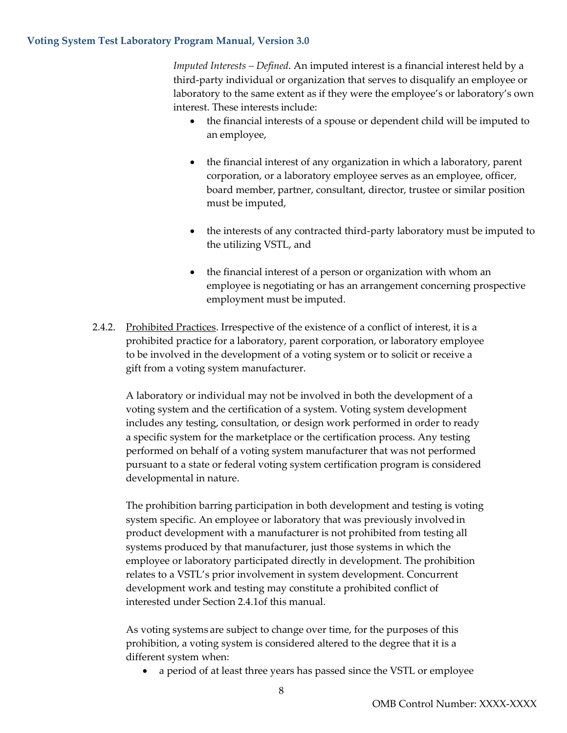*Imputed Interests – Defined*. An imputed interest is a financial interest held by a third-party individual or organization that serves to disqualify an employee or laboratory to the same extent as if they were the employee's or laboratory's own interest. These interests include:

- the financial interests of a spouse or dependent child will be imputed to an employee,
- the financial interest of any organization in which a laboratory, parent corporation, or a laboratory employee serves as an employee, officer, board member, partner, consultant, director, trustee or similar position must be imputed,
- the interests of any contracted third-party laboratory must be imputed to the utilizing VSTL, and
- the financial interest of a person or organization with whom an employee is negotiating or has an arrangement concerning prospective employment must be imputed.
- 2.4.2. Prohibited Practices. Irrespective of the existence of a conflict of interest, it is a prohibited practice for a laboratory, parent corporation, or laboratory employee to be involved in the development of a voting system or to solicit or receive a gift from a voting system manufacturer.

A laboratory or individual may not be involved in both the development of a voting system and the certification of a system. Voting system development includes any testing, consultation, or design work performed in order to ready a specific system for the marketplace or the certification process. Any testing performed on behalf of a voting system manufacturer that was not performed pursuant to a state or federal voting system certification program is considered developmental in nature.

The prohibition barring participation in both development and testing is voting system specific. An employee or laboratory that was previously involvedin product development with a manufacturer is not prohibited from testing all systems produced by that manufacturer, just those systems in which the employee or laboratory participated directly in development. The prohibition relates to a VSTL's prior involvement in system development. Concurrent development work and testing may constitute a prohibited conflict of interested under Section 2.4.1of this manual.

As voting systems are subject to change over time, for the purposes of this prohibition, a voting system is considered altered to the degree that it is a different system when:

• a period of at least three years has passed since the VSTL or employee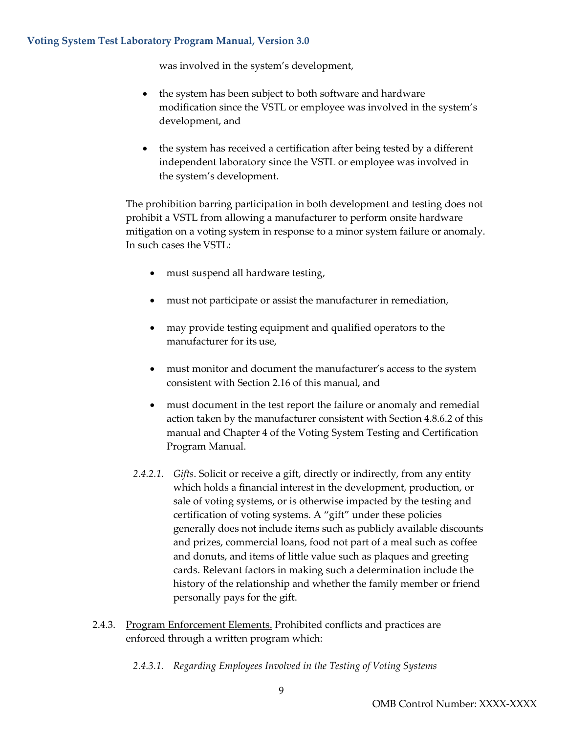was involved in the system's development,

- the system has been subject to both software and hardware modification since the VSTL or employee was involved in the system's development, and
- the system has received a certification after being tested by a different independent laboratory since the VSTL or employee was involved in the system's development.

The prohibition barring participation in both development and testing does not prohibit a VSTL from allowing a manufacturer to perform onsite hardware mitigation on a voting system in response to a minor system failure or anomaly. In such cases the VSTL:

- must suspend all hardware testing,
- must not participate or assist the manufacturer in remediation,
- may provide testing equipment and qualified operators to the manufacturer for its use,
- must monitor and document the manufacturer's access to the system consistent with Section 2.16 of this manual, and
- must document in the test report the failure or anomaly and remedial action taken by the manufacturer consistent with Section 4.8.6.2 of this manual and Chapter 4 of the Voting System Testing and Certification Program Manual.
- *2.4.2.1. Gifts*. Solicit or receive a gift, directly or indirectly, from any entity which holds a financial interest in the development, production, or sale of voting systems, or is otherwise impacted by the testing and certification of voting systems. A "gift" under these policies generally does not include items such as publicly available discounts and prizes, commercial loans, food not part of a meal such as coffee and donuts, and items of little value such as plaques and greeting cards. Relevant factors in making such a determination include the history of the relationship and whether the family member or friend personally pays for the gift.
- 2.4.3. Program Enforcement Elements. Prohibited conflicts and practices are enforced through a written program which:
	- *2.4.3.1. Regarding Employees Involved in the Testing of Voting Systems*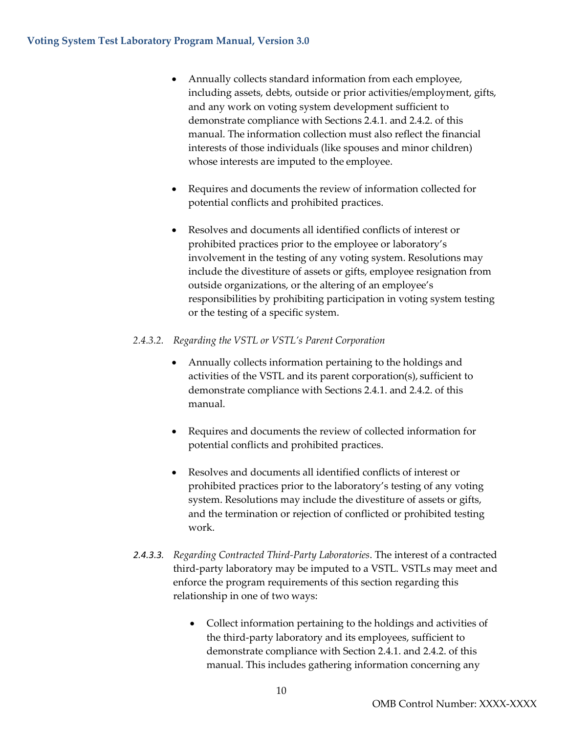- Annually collects standard information from each employee, including assets, debts, outside or prior activities/employment, gifts, and any work on voting system development sufficient to demonstrate compliance with Sections 2.4.1. and 2.4.2. of this manual. The information collection must also reflect the financial interests of those individuals (like spouses and minor children) whose interests are imputed to the employee.
- Requires and documents the review of information collected for potential conflicts and prohibited practices.
- Resolves and documents all identified conflicts of interest or prohibited practices prior to the employee or laboratory's involvement in the testing of any voting system. Resolutions may include the divestiture of assets or gifts, employee resignation from outside organizations, or the altering of an employee's responsibilities by prohibiting participation in voting system testing or the testing of a specific system.

#### *2.4.3.2. Regarding the VSTL or VSTL's Parent Corporation*

- Annually collects information pertaining to the holdings and activities of the VSTL and its parent corporation(s), sufficient to demonstrate compliance with Sections 2.4.1. and 2.4.2. of this manual.
- Requires and documents the review of collected information for potential conflicts and prohibited practices.
- Resolves and documents all identified conflicts of interest or prohibited practices prior to the laboratory's testing of any voting system. Resolutions may include the divestiture of assets or gifts, and the termination or rejection of conflicted or prohibited testing work.
- *2.4.3.3. Regarding Contracted Third-Party Laboratories*. The interest of a contracted third-party laboratory may be imputed to a VSTL. VSTLs may meet and enforce the program requirements of this section regarding this relationship in one of two ways:
	- Collect information pertaining to the holdings and activities of the third-party laboratory and its employees, sufficient to demonstrate compliance with Section 2.4.1. and 2.4.2. of this manual. This includes gathering information concerning any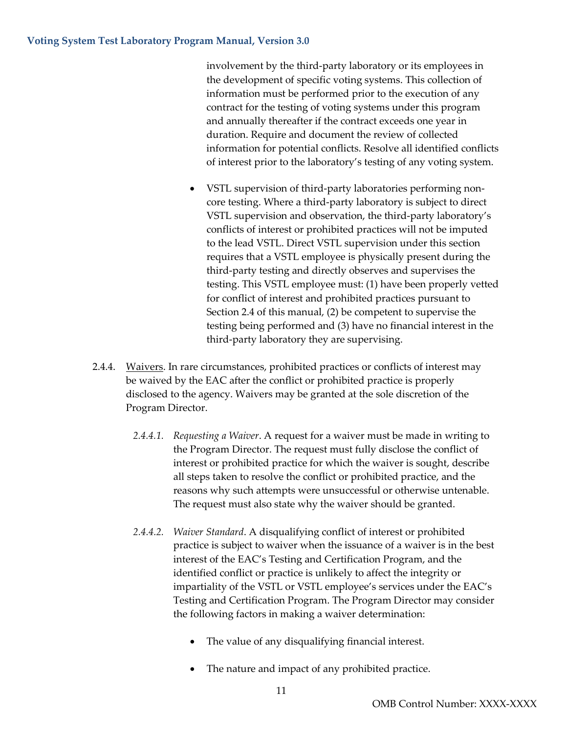involvement by the third-party laboratory or its employees in the development of specific voting systems. This collection of information must be performed prior to the execution of any contract for the testing of voting systems under this program and annually thereafter if the contract exceeds one year in duration. Require and document the review of collected information for potential conflicts. Resolve all identified conflicts of interest prior to the laboratory's testing of any voting system.

- VSTL supervision of third-party laboratories performing noncore testing. Where a third-party laboratory is subject to direct VSTL supervision and observation, the third-party laboratory's conflicts of interest or prohibited practices will not be imputed to the lead VSTL. Direct VSTL supervision under this section requires that a VSTL employee is physically present during the third-party testing and directly observes and supervises the testing. This VSTL employee must: (1) have been properly vetted for conflict of interest and prohibited practices pursuant to Section 2.4 of this manual, (2) be competent to supervise the testing being performed and (3) have no financial interest in the third-party laboratory they are supervising.
- 2.4.4. Waivers. In rare circumstances, prohibited practices or conflicts of interest may be waived by the EAC after the conflict or prohibited practice is properly disclosed to the agency. Waivers may be granted at the sole discretion of the Program Director.
	- *2.4.4.1. Requesting a Waiver*. A request for a waiver must be made in writing to the Program Director. The request must fully disclose the conflict of interest or prohibited practice for which the waiver is sought, describe all steps taken to resolve the conflict or prohibited practice, and the reasons why such attempts were unsuccessful or otherwise untenable. The request must also state why the waiver should be granted.
	- *2.4.4.2. Waiver Standard*. A disqualifying conflict of interest or prohibited practice is subject to waiver when the issuance of a waiver is in the best interest of the EAC's Testing and Certification Program, and the identified conflict or practice is unlikely to affect the integrity or impartiality of the VSTL or VSTL employee's services under the EAC's Testing and Certification Program. The Program Director may consider the following factors in making a waiver determination:
		- The value of any disqualifying financial interest.
		- The nature and impact of any prohibited practice.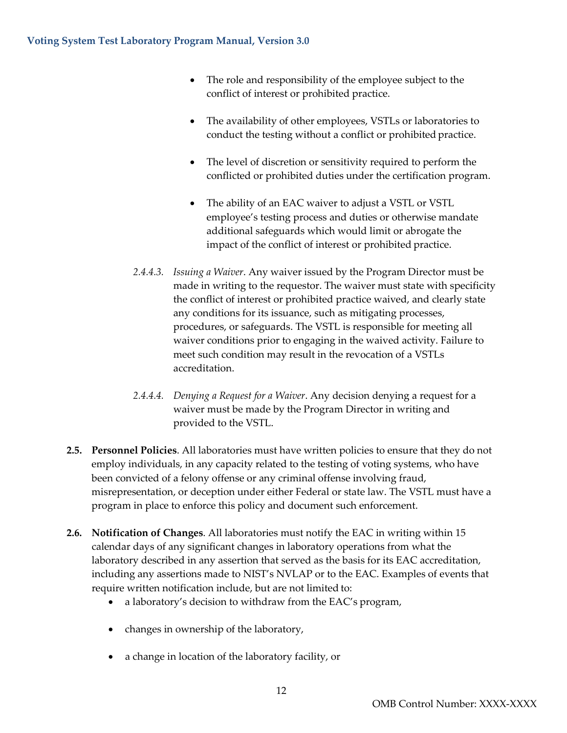- The role and responsibility of the employee subject to the conflict of interest or prohibited practice.
- The availability of other employees, VSTLs or laboratories to conduct the testing without a conflict or prohibited practice.
- The level of discretion or sensitivity required to perform the conflicted or prohibited duties under the certification program.
- The ability of an EAC waiver to adjust a VSTL or VSTL employee's testing process and duties or otherwise mandate additional safeguards which would limit or abrogate the impact of the conflict of interest or prohibited practice.
- *2.4.4.3. Issuing a Waiver*. Any waiver issued by the Program Director must be made in writing to the requestor. The waiver must state with specificity the conflict of interest or prohibited practice waived, and clearly state any conditions for its issuance, such as mitigating processes, procedures, or safeguards. The VSTL is responsible for meeting all waiver conditions prior to engaging in the waived activity. Failure to meet such condition may result in the revocation of a VSTLs accreditation.
- *2.4.4.4. Denying a Request for a Waiver*. Any decision denying a request for a waiver must be made by the Program Director in writing and provided to the VSTL.
- **2.5. Personnel Policies**. All laboratories must have written policies to ensure that they do not employ individuals, in any capacity related to the testing of voting systems, who have been convicted of a felony offense or any criminal offense involving fraud, misrepresentation, or deception under either Federal or state law. The VSTL must have a program in place to enforce this policy and document such enforcement.
- **2.6. Notification of Changes**. All laboratories must notify the EAC in writing within 15 calendar days of any significant changes in laboratory operations from what the laboratory described in any assertion that served as the basis for its EAC accreditation, including any assertions made to NIST's NVLAP or to the EAC. Examples of events that require written notification include, but are not limited to:
	- a laboratory's decision to withdraw from the EAC's program,
	- changes in ownership of the laboratory,
	- a change in location of the laboratory facility, or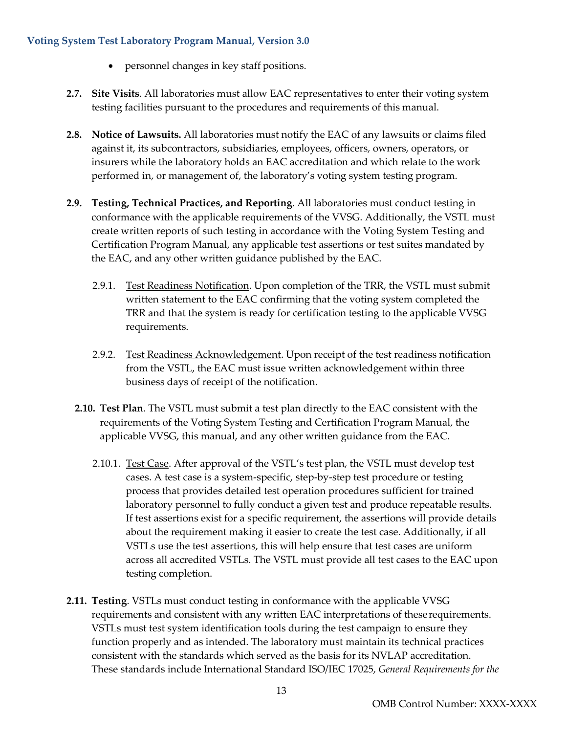- personnel changes in key staff positions.
- **2.7. Site Visits**. All laboratories must allow EAC representatives to enter their voting system testing facilities pursuant to the procedures and requirements of this manual.
- **2.8. Notice of Lawsuits.** All laboratories must notify the EAC of any lawsuits or claims filed against it, its subcontractors, subsidiaries, employees, officers, owners, operators, or insurers while the laboratory holds an EAC accreditation and which relate to the work performed in, or management of, the laboratory's voting system testing program.
- **2.9. Testing, Technical Practices, and Reporting**. All laboratories must conduct testing in conformance with the applicable requirements of the VVSG. Additionally, the VSTL must create written reports of such testing in accordance with the Voting System Testing and Certification Program Manual, any applicable test assertions or test suites mandated by the EAC, and any other written guidance published by the EAC.
	- 2.9.1. Test Readiness Notification. Upon completion of the TRR, the VSTL must submit written statement to the EAC confirming that the voting system completed the TRR and that the system is ready for certification testing to the applicable VVSG requirements.
	- 2.9.2. Test Readiness Acknowledgement. Upon receipt of the test readiness notification from the VSTL, the EAC must issue written acknowledgement within three business days of receipt of the notification.
	- **2.10. Test Plan**. The VSTL must submit a test plan directly to the EAC consistent with the requirements of the Voting System Testing and Certification Program Manual, the applicable VVSG, this manual, and any other written guidance from the EAC.
		- 2.10.1. Test Case. After approval of the VSTL's test plan, the VSTL must develop test cases. A test case is a system-specific, step-by-step test procedure or testing process that provides detailed test operation procedures sufficient for trained laboratory personnel to fully conduct a given test and produce repeatable results. If test assertions exist for a specific requirement, the assertions will provide details about the requirement making it easier to create the test case. Additionally, if all VSTLs use the test assertions, this will help ensure that test cases are uniform across all accredited VSTLs. The VSTL must provide all test cases to the EAC upon testing completion.
- **2.11. Testing**. VSTLs must conduct testing in conformance with the applicable VVSG requirements and consistent with any written EAC interpretations of theserequirements. VSTLs must test system identification tools during the test campaign to ensure they function properly and as intended. The laboratory must maintain its technical practices consistent with the standards which served as the basis for its NVLAP accreditation. These standards include International Standard ISO/IEC 17025, *General Requirements for the*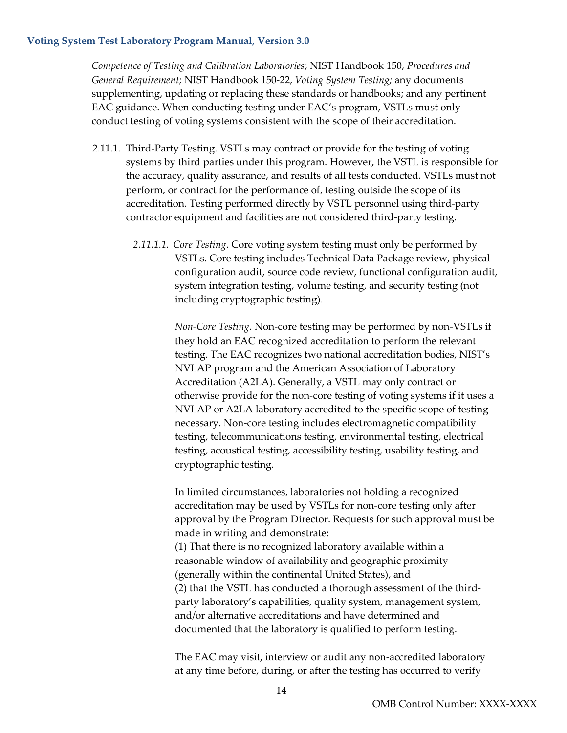*Competence of Testing and Calibration Laboratories*; NIST Handbook 150, *Procedures and General Requirement;* NIST Handbook 150-22, *Voting System Testing;* any documents supplementing, updating or replacing these standards or handbooks; and any pertinent EAC guidance. When conducting testing under EAC's program, VSTLs must only conduct testing of voting systems consistent with the scope of their accreditation.

- 2.11.1. Third-Party Testing. VSTLs may contract or provide for the testing of voting systems by third parties under this program. However, the VSTL is responsible for the accuracy, quality assurance, and results of all tests conducted. VSTLs must not perform, or contract for the performance of, testing outside the scope of its accreditation. Testing performed directly by VSTL personnel using third-party contractor equipment and facilities are not considered third-party testing.
	- *2.11.1.1. Core Testing*. Core voting system testing must only be performed by VSTLs. Core testing includes Technical Data Package review, physical configuration audit, source code review, functional configuration audit, system integration testing, volume testing, and security testing (not including cryptographic testing).

*Non-Core Testing*. Non-core testing may be performed by non-VSTLs if they hold an EAC recognized accreditation to perform the relevant testing. The EAC recognizes two national accreditation bodies, NIST's NVLAP program and the American Association of Laboratory Accreditation (A2LA). Generally, a VSTL may only contract or otherwise provide for the non-core testing of voting systems if it uses a NVLAP or A2LA laboratory accredited to the specific scope of testing necessary. Non-core testing includes electromagnetic compatibility testing, telecommunications testing, environmental testing, electrical testing, acoustical testing, accessibility testing, usability testing, and cryptographic testing.

In limited circumstances, laboratories not holding a recognized accreditation may be used by VSTLs for non-core testing only after approval by the Program Director. Requests for such approval must be made in writing and demonstrate:

(1) That there is no recognized laboratory available within a reasonable window of availability and geographic proximity (generally within the continental United States), and (2) that the VSTL has conducted a thorough assessment of the thirdparty laboratory's capabilities, quality system, management system, and/or alternative accreditations and have determined and documented that the laboratory is qualified to perform testing.

The EAC may visit, interview or audit any non-accredited laboratory at any time before, during, or after the testing has occurred to verify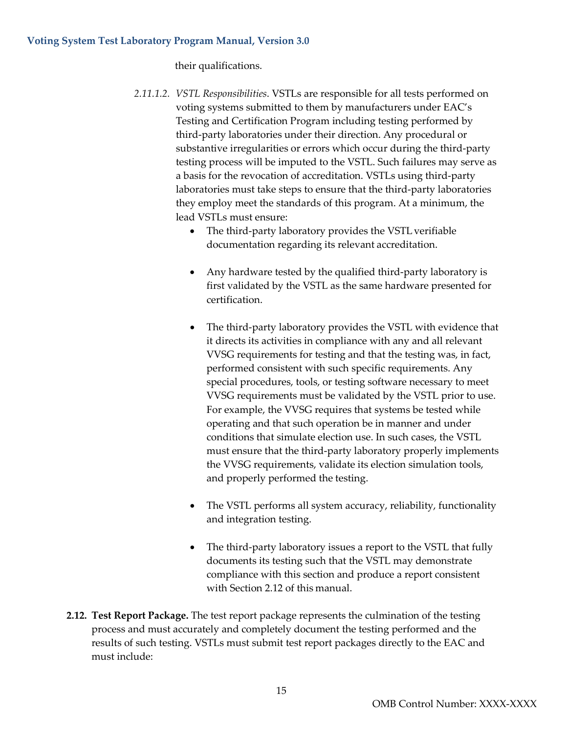their qualifications.

- *2.11.1.2. VSTL Responsibilities*. VSTLs are responsible for all tests performed on voting systems submitted to them by manufacturers under EAC's Testing and Certification Program including testing performed by third-party laboratories under their direction. Any procedural or substantive irregularities or errors which occur during the third-party testing process will be imputed to the VSTL. Such failures may serve as a basis for the revocation of accreditation. VSTLs using third-party laboratories must take steps to ensure that the third-party laboratories they employ meet the standards of this program. At a minimum, the lead VSTLs must ensure:
	- The third-party laboratory provides the VSTL verifiable documentation regarding its relevant accreditation.
	- Any hardware tested by the qualified third-party laboratory is first validated by the VSTL as the same hardware presented for certification.
	- The third-party laboratory provides the VSTL with evidence that it directs its activities in compliance with any and all relevant VVSG requirements for testing and that the testing was, in fact, performed consistent with such specific requirements. Any special procedures, tools, or testing software necessary to meet VVSG requirements must be validated by the VSTL prior to use. For example, the VVSG requires that systems be tested while operating and that such operation be in manner and under conditions that simulate election use. In such cases, the VSTL must ensure that the third-party laboratory properly implements the VVSG requirements, validate its election simulation tools, and properly performed the testing.
	- The VSTL performs all system accuracy, reliability, functionality and integration testing.
	- The third-party laboratory issues a report to the VSTL that fully documents its testing such that the VSTL may demonstrate compliance with this section and produce a report consistent with Section 2.12 of this manual.
- **2.12. Test Report Package.** The test report package represents the culmination of the testing process and must accurately and completely document the testing performed and the results of such testing. VSTLs must submit test report packages directly to the EAC and must include: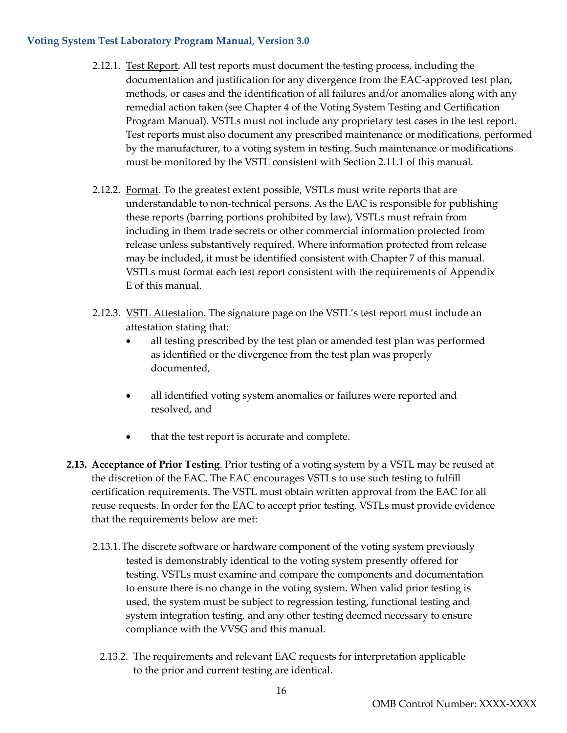- 2.12.1. Test Report. All test reports must document the testing process, including the documentation and justification for any divergence from the EAC-approved test plan, methods, or cases and the identification of all failures and/or anomalies along with any remedial action taken (see Chapter 4 of the Voting System Testing and Certification Program Manual). VSTLs must not include any proprietary test cases in the test report. Test reports must also document any prescribed maintenance or modifications, performed by the manufacturer, to a voting system in testing. Such maintenance or modifications must be monitored by the VSTL consistent with Section 2.11.1 of this manual.
- 2.12.2. Format. To the greatest extent possible, VSTLs must write reports that are understandable to non-technical persons. As the EAC is responsible for publishing these reports (barring portions prohibited by law), VSTLs must refrain from including in them trade secrets or other commercial information protected from release unless substantively required. Where information protected from release may be included, it must be identified consistent with Chapter 7 of this manual. VSTLs must format each test report consistent with the requirements of Appendix E of this manual.
- 2.12.3. VSTL Attestation. The signature page on the VSTL's test report must include an attestation stating that:
	- all testing prescribed by the test plan or amended test plan was performed as identified or the divergence from the test plan was properly documented,
	- all identified voting system anomalies or failures were reported and resolved, and
	- that the test report is accurate and complete.
- **2.13. Acceptance of Prior Testing**. Prior testing of a voting system by a VSTL may be reused at the discretion of the EAC. The EAC encourages VSTLs to use such testing to fulfill certification requirements. The VSTL must obtain written approval from the EAC for all reuse requests. In order for the EAC to accept prior testing, VSTLs must provide evidence that the requirements below are met:
	- 2.13.1.The discrete software or hardware component of the voting system previously tested is demonstrably identical to the voting system presently offered for testing. VSTLs must examine and compare the components and documentation to ensure there is no change in the voting system. When valid prior testing is used, the system must be subject to regression testing, functional testing and system integration testing, and any other testing deemed necessary to ensure compliance with the VVSG and this manual.
		- 2.13.2. The requirements and relevant EAC requests for interpretation applicable to the prior and current testing are identical.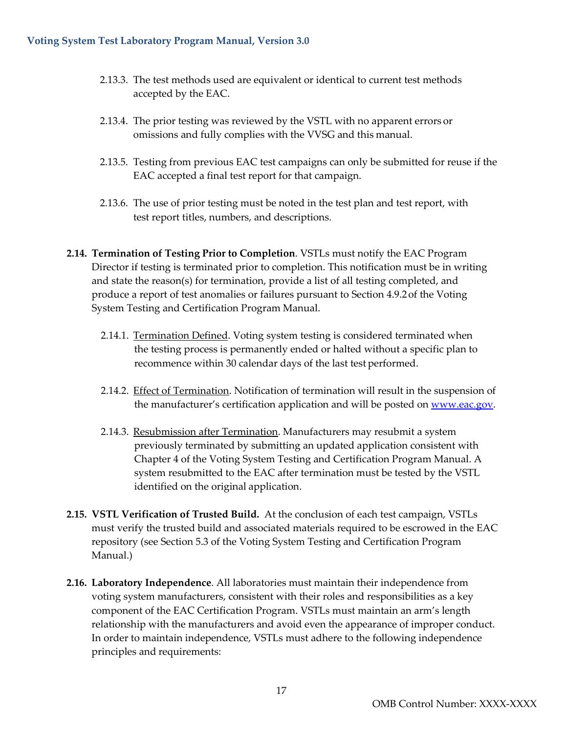- 2.13.3. The test methods used are equivalent or identical to current test methods accepted by the EAC.
- 2.13.4. The prior testing was reviewed by the VSTL with no apparent errors or omissions and fully complies with the VVSG and this manual.
- 2.13.5. Testing from previous EAC test campaigns can only be submitted for reuse if the EAC accepted a final test report for that campaign.
- 2.13.6. The use of prior testing must be noted in the test plan and test report, with test report titles, numbers, and descriptions.
- **2.14. Termination of Testing Prior to Completion**. VSTLs must notify the EAC Program Director if testing is terminated prior to completion. This notification must be in writing and state the reason(s) for termination, provide a list of all testing completed, and produce a report of test anomalies or failures pursuant to Section 4.9.2of the Voting System Testing and Certification Program Manual.
	- 2.14.1. Termination Defined. Voting system testing is considered terminated when the testing process is permanently ended or halted without a specific plan to recommence within 30 calendar days of the last test performed.
	- 2.14.2. Effect of Termination. Notification of termination will result in the suspension of the manufacturer's certification application and will be posted on [www.eac.gov.](http://www.eac.gov/)
	- 2.14.3. Resubmission after Termination. Manufacturers may resubmit a system previously terminated by submitting an updated application consistent with Chapter 4 of the Voting System Testing and Certification Program Manual. A system resubmitted to the EAC after termination must be tested by the VSTL identified on the original application.
- **2.15. VSTL Verification of Trusted Build.** At the conclusion of each test campaign, VSTLs must verify the trusted build and associated materials required to be escrowed in the EAC repository (see Section 5.3 of the Voting System Testing and Certification Program Manual.)
- **2.16. Laboratory Independence**. All laboratories must maintain their independence from voting system manufacturers, consistent with their roles and responsibilities as a key component of the EAC Certification Program. VSTLs must maintain an arm's length relationship with the manufacturers and avoid even the appearance of improper conduct. In order to maintain independence, VSTLs must adhere to the following independence principles and requirements: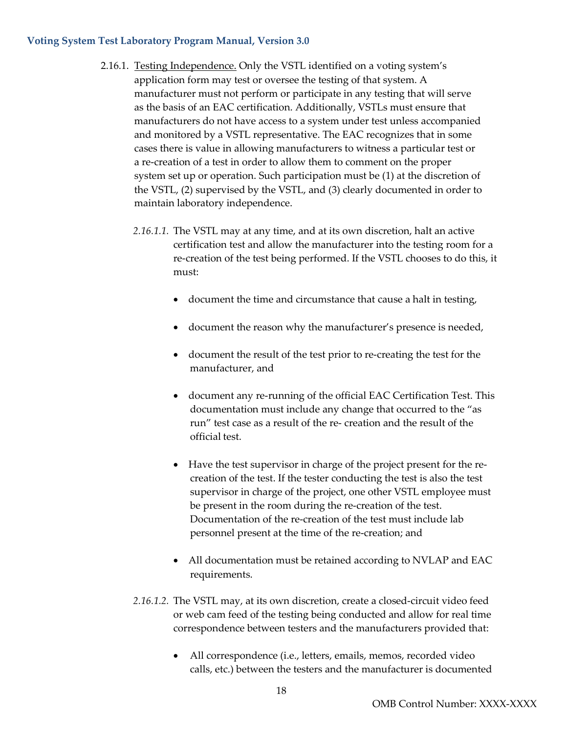- 2.16.1. Testing Independence. Only the VSTL identified on a voting system's application form may test or oversee the testing of that system. A manufacturer must not perform or participate in any testing that will serve as the basis of an EAC certification. Additionally, VSTLs must ensure that manufacturers do not have access to a system under test unless accompanied and monitored by a VSTL representative. The EAC recognizes that in some cases there is value in allowing manufacturers to witness a particular test or a re-creation of a test in order to allow them to comment on the proper system set up or operation. Such participation must be (1) at the discretion of the VSTL, (2) supervised by the VSTL, and (3) clearly documented in order to maintain laboratory independence.
	- *2.16.1.1.* The VSTL may at any time, and at its own discretion, halt an active certification test and allow the manufacturer into the testing room for a re-creation of the test being performed. If the VSTL chooses to do this, it must:
		- document the time and circumstance that cause a halt in testing,
		- document the reason why the manufacturer's presence is needed,
		- document the result of the test prior to re-creating the test for the manufacturer, and
		- document any re-running of the official EAC Certification Test. This documentation must include any change that occurred to the "as run" test case as a result of the re- creation and the result of the official test.
		- Have the test supervisor in charge of the project present for the recreation of the test. If the tester conducting the test is also the test supervisor in charge of the project, one other VSTL employee must be present in the room during the re-creation of the test. Documentation of the re-creation of the test must include lab personnel present at the time of the re-creation; and
		- All documentation must be retained according to NVLAP and EAC requirements.
	- *2.16.1.2.* The VSTL may, at its own discretion, create a closed-circuit video feed or web cam feed of the testing being conducted and allow for real time correspondence between testers and the manufacturers provided that:
		- All correspondence (i.e., letters, emails, memos, recorded video calls, etc.) between the testers and the manufacturer is documented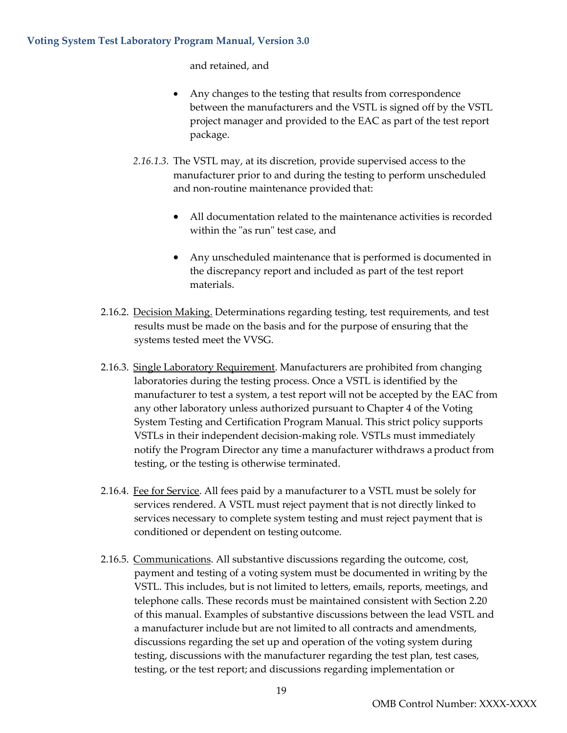and retained, and

- Any changes to the testing that results from correspondence between the manufacturers and the VSTL is signed off by the VSTL project manager and provided to the EAC as part of the test report package.
- *2.16.1.3.* The VSTL may, at its discretion, provide supervised access to the manufacturer prior to and during the testing to perform unscheduled and non-routine maintenance provided that:
	- All documentation related to the maintenance activities is recorded within the "as run" test case, and
	- Any unscheduled maintenance that is performed is documented in the discrepancy report and included as part of the test report materials.
- 2.16.2. Decision Making. Determinations regarding testing, test requirements, and test results must be made on the basis and for the purpose of ensuring that the systems tested meet the VVSG.
- 2.16.3. Single Laboratory Requirement. Manufacturers are prohibited from changing laboratories during the testing process. Once a VSTL is identified by the manufacturer to test a system, a test report will not be accepted by the EAC from any other laboratory unless authorized pursuant to Chapter 4 of the Voting System Testing and Certification Program Manual. This strict policy supports VSTLs in their independent decision-making role. VSTLs must immediately notify the Program Director any time a manufacturer withdraws a product from testing, or the testing is otherwise terminated.
- 2.16.4. Fee for Service. All fees paid by a manufacturer to a VSTL must be solely for services rendered. A VSTL must reject payment that is not directly linked to services necessary to complete system testing and must reject payment that is conditioned or dependent on testing outcome.
- 2.16.5. Communications. All substantive discussions regarding the outcome, cost, payment and testing of a voting system must be documented in writing by the VSTL. This includes, but is not limited to letters, emails, reports, meetings, and telephone calls. These records must be maintained consistent with Section 2.20 of this manual. Examples of substantive discussions between the lead VSTL and a manufacturer include but are not limited to all contracts and amendments, discussions regarding the set up and operation of the voting system during testing, discussions with the manufacturer regarding the test plan, test cases, testing, or the test report; and discussions regarding implementation or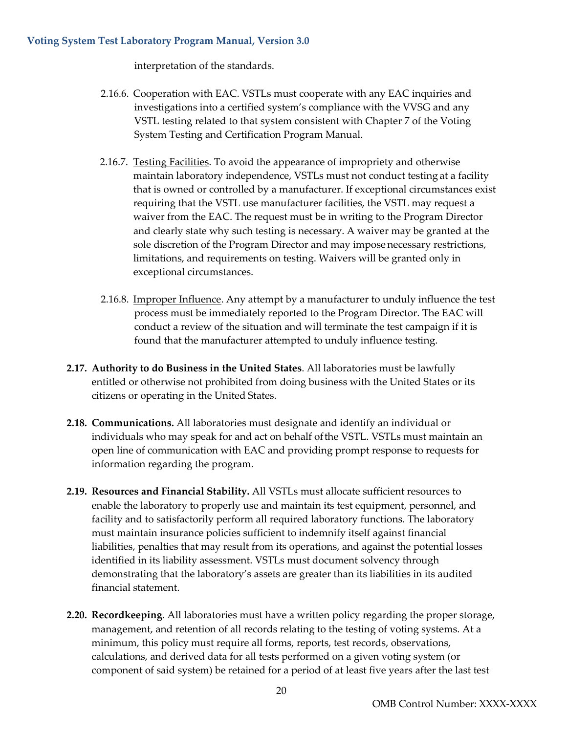interpretation of the standards.

- 2.16.6. Cooperation with EAC. VSTLs must cooperate with any EAC inquiries and investigations into a certified system's compliance with the VVSG and any VSTL testing related to that system consistent with Chapter 7 of the Voting System Testing and Certification Program Manual.
- 2.16.7. Testing Facilities. To avoid the appearance of impropriety and otherwise maintain laboratory independence, VSTLs must not conduct testing at a facility that is owned or controlled by a manufacturer. If exceptional circumstances exist requiring that the VSTL use manufacturer facilities, the VSTL may request a waiver from the EAC. The request must be in writing to the Program Director and clearly state why such testing is necessary. A waiver may be granted at the sole discretion of the Program Director and may impose necessary restrictions, limitations, and requirements on testing. Waivers will be granted only in exceptional circumstances.
- 2.16.8. Improper Influence. Any attempt by a manufacturer to unduly influence the test process must be immediately reported to the Program Director. The EAC will conduct a review of the situation and will terminate the test campaign if it is found that the manufacturer attempted to unduly influence testing.
- **2.17. Authority to do Business in the United States**. All laboratories must be lawfully entitled or otherwise not prohibited from doing business with the United States or its citizens or operating in the United States.
- **2.18. Communications.** All laboratories must designate and identify an individual or individuals who may speak for and act on behalf ofthe VSTL. VSTLs must maintain an open line of communication with EAC and providing prompt response to requests for information regarding the program.
- **2.19. Resources and Financial Stability.** All VSTLs must allocate sufficient resources to enable the laboratory to properly use and maintain its test equipment, personnel, and facility and to satisfactorily perform all required laboratory functions. The laboratory must maintain insurance policies sufficient to indemnify itself against financial liabilities, penalties that may result from its operations, and against the potential losses identified in its liability assessment. VSTLs must document solvency through demonstrating that the laboratory's assets are greater than its liabilities in its audited financial statement.
- **2.20. Recordkeeping**. All laboratories must have a written policy regarding the proper storage, management, and retention of all records relating to the testing of voting systems. At a minimum, this policy must require all forms, reports, test records, observations, calculations, and derived data for all tests performed on a given voting system (or component of said system) be retained for a period of at least five years after the last test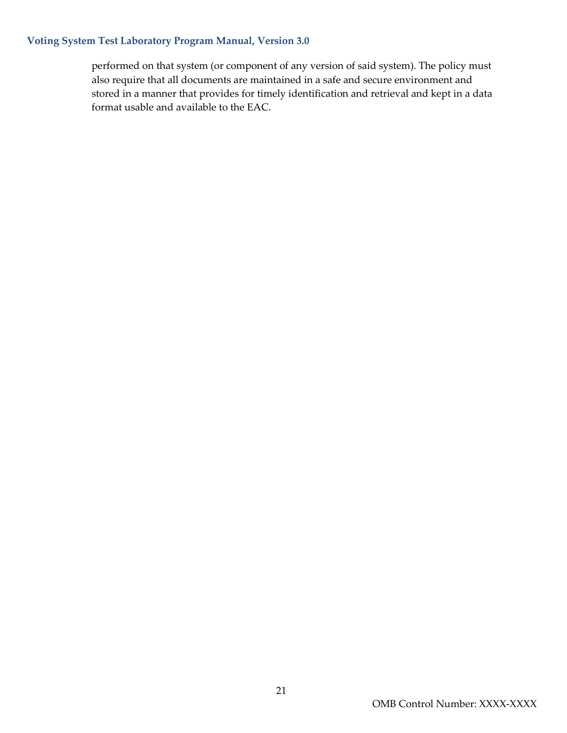performed on that system (or component of any version of said system). The policy must also require that all documents are maintained in a safe and secure environment and stored in a manner that provides for timely identification and retrieval and kept in a data format usable and available to the EAC.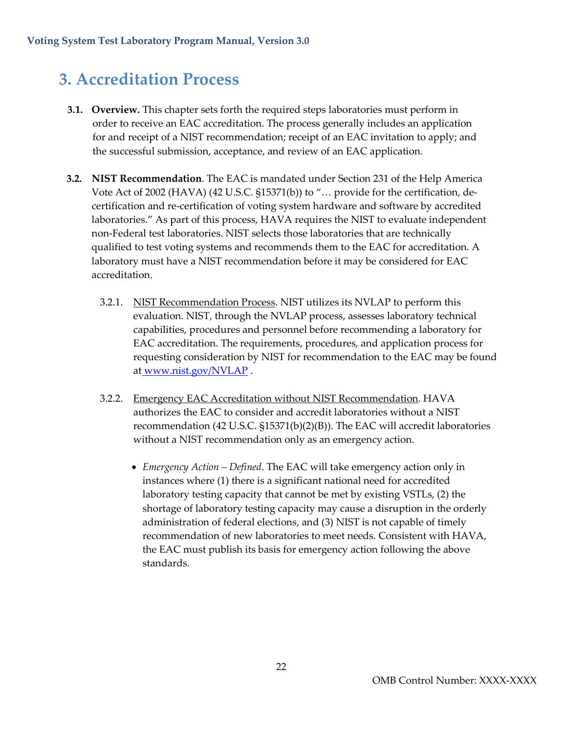## <span id="page-22-0"></span>**3. Accreditation Process**

- **3.1. Overview.** This chapter sets forth the required steps laboratories must perform in order to receive an EAC accreditation. The process generally includes an application for and receipt of a NIST recommendation; receipt of an EAC invitation to apply; and the successful submission, acceptance, and review of an EAC application.
- **3.2. NIST Recommendation**. The EAC is mandated under Section 231 of the Help America Vote Act of 2002 (HAVA) (42 U.S.C. §15371(b)) to "… provide for the certification, decertification and re-certification of voting system hardware and software by accredited laboratories." As part of this process, HAVA requires the NIST to evaluate independent non-Federal test laboratories. NIST selects those laboratories that are technically qualified to test voting systems and recommends them to the EAC for accreditation. A laboratory must have a NIST recommendation before it may be considered for EAC accreditation.
	- 3.2.1. NIST Recommendation Process. NIST utilizes its NVLAP to perform this evaluation. NIST, through the NVLAP process, assesses laboratory technical capabilities, procedures and personnel before recommending a laboratory for EAC accreditation. The requirements, procedures, and application process for requesting consideration by NIST for recommendation to the EAC may be found at [www.nist.gov/NVLAP](http://www.nist.gov/NVLAP).
	- 3.2.2. Emergency EAC Accreditation without NIST Recommendation. HAVA authorizes the EAC to consider and accredit laboratories without a NIST recommendation (42 U.S.C. §15371(b)(2)(B)). The EAC will accredit laboratories without a NIST recommendation only as an emergency action.
		- *Emergency Action – Defined*. The EAC will take emergency action only in instances where (1) there is a significant national need for accredited laboratory testing capacity that cannot be met by existing VSTLs, (2) the shortage of laboratory testing capacity may cause a disruption in the orderly administration of federal elections, and (3) NIST is not capable of timely recommendation of new laboratories to meet needs. Consistent with HAVA, the EAC must publish its basis for emergency action following the above standards.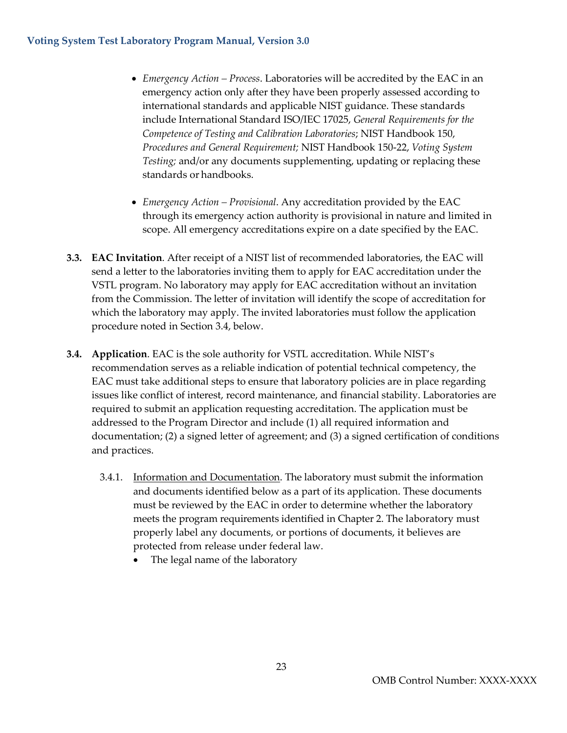- *Emergency Action – Process*. Laboratories will be accredited by the EAC in an emergency action only after they have been properly assessed according to international standards and applicable NIST guidance. These standards include International Standard ISO/IEC 17025, *General Requirements for the Competence of Testing and Calibration Laboratories*; NIST Handbook 150, *Procedures and General Requirement;* NIST Handbook 150-22, *Voting System Testing;* and/or any documents supplementing, updating or replacing these standards or handbooks.
- *Emergency Action – Provisional*. Any accreditation provided by the EAC through its emergency action authority is provisional in nature and limited in scope. All emergency accreditations expire on a date specified by the EAC.
- **3.3. EAC Invitation**. After receipt of a NIST list of recommended laboratories, the EAC will send a letter to the laboratories inviting them to apply for EAC accreditation under the VSTL program. No laboratory may apply for EAC accreditation without an invitation from the Commission. The letter of invitation will identify the scope of accreditation for which the laboratory may apply. The invited laboratories must follow the application procedure noted in Section 3.4, below.
- **3.4. Application**. EAC is the sole authority for VSTL accreditation. While NIST's recommendation serves as a reliable indication of potential technical competency, the EAC must take additional steps to ensure that laboratory policies are in place regarding issues like conflict of interest, record maintenance, and financial stability. Laboratories are required to submit an application requesting accreditation. The application must be addressed to the Program Director and include (1) all required information and documentation; (2) a signed letter of agreement; and (3) a signed certification of conditions and practices.
	- 3.4.1. Information and Documentation. The laboratory must submit the information and documents identified below as a part of its application. These documents must be reviewed by the EAC in order to determine whether the laboratory meets the program requirements identified in Chapter 2. The laboratory must properly label any documents, or portions of documents, it believes are protected from release under federal law.
		- The legal name of the laboratory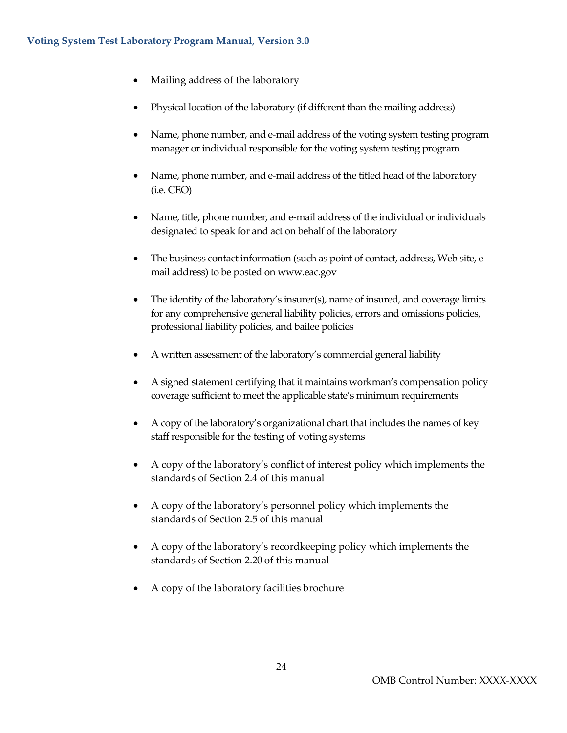- Mailing address of the laboratory
- Physical location of the laboratory (if different than the mailing address)
- Name, phone number, and e-mail address of the voting system testing program manager or individual responsible for the voting system testing program
- Name, phone number, and e-mail address of the titled head of the laboratory (i.e. CEO)
- Name, title, phone number, and e-mail address of the individual or individuals designated to speak for and act on behalf of the laboratory
- The business contact information (such as point of contact, address, Web site, email address) to be posted on [www.eac.gov](http://www.eac.gov/)
- The identity of the laboratory's insurer(s), name of insured, and coverage limits for any comprehensive general liability policies, errors and omissions policies, professional liability policies, and bailee policies
- A written assessment of the laboratory's commercial general liability
- A signed statement certifying that it maintains workman's compensation policy coverage sufficient to meet the applicable state's minimum requirements
- A copy of the laboratory's organizational chart that includes the names of key staff responsible for the testing of voting systems
- A copy of the laboratory's conflict of interest policy which implements the standards of Section 2.4 of this manual
- A copy of the laboratory's personnel policy which implements the standards of Section 2.5 of this manual
- A copy of the laboratory's recordkeeping policy which implements the standards of Section 2.20 of this manual
- A copy of the laboratory facilities brochure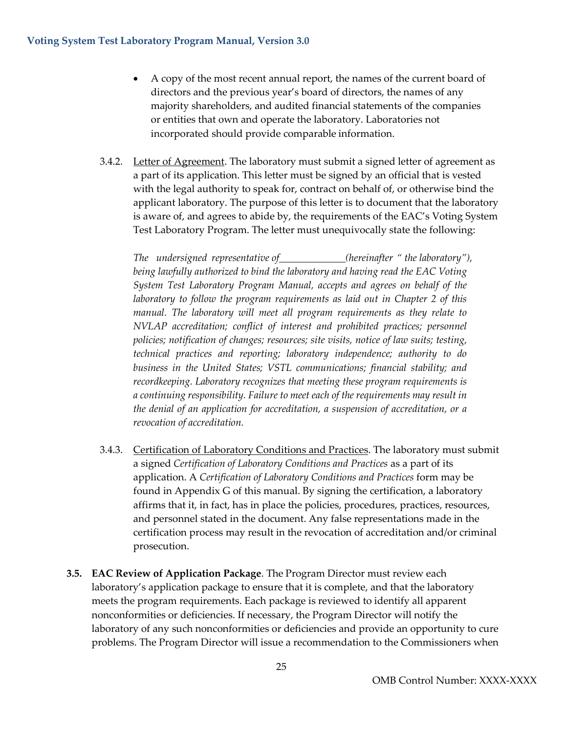- A copy of the most recent annual report, the names of the current board of directors and the previous year's board of directors, the names of any majority shareholders, and audited financial statements of the companies or entities that own and operate the laboratory. Laboratories not incorporated should provide comparable information.
- 3.4.2. Letter of Agreement. The laboratory must submit a signed letter of agreement as a part of its application. This letter must be signed by an official that is vested with the legal authority to speak for, contract on behalf of, or otherwise bind the applicant laboratory. The purpose of this letter is to document that the laboratory is aware of, and agrees to abide by, the requirements of the EAC's Voting System Test Laboratory Program. The letter must unequivocally state the following:

*The undersigned representative of (hereinafter " the laboratory"), being lawfully authorized to bind the laboratory and having read the EAC Voting System Test Laboratory Program Manual, accepts and agrees on behalf of the laboratory to follow the program requirements as laid out in Chapter 2 of this manual. The laboratory will meet all program requirements as they relate to NVLAP accreditation; conflict of interest and prohibited practices; personnel policies; notification of changes; resources; site visits, notice of law suits; testing, technical practices and reporting; laboratory independence; authority to do business in the United States; VSTL communications; financial stability; and recordkeeping. Laboratory recognizes that meeting these program requirements is a continuing responsibility. Failure to meet each of the requirements may result in the denial of an application for accreditation, a suspension of accreditation, or a revocation of accreditation.*

- 3.4.3. Certification of Laboratory Conditions and Practices. The laboratory must submit a signed *Certification of Laboratory Conditions and Practices* as a part of its application. A *Certification of Laboratory Conditions and Practices* form may be found in Appendix G of this manual. By signing the certification, a laboratory affirms that it, in fact, has in place the policies, procedures, practices, resources, and personnel stated in the document. Any false representations made in the certification process may result in the revocation of accreditation and/or criminal prosecution.
- **3.5. EAC Review of Application Package**. The Program Director must review each laboratory's application package to ensure that it is complete, and that the laboratory meets the program requirements. Each package is reviewed to identify all apparent nonconformities or deficiencies. If necessary, the Program Director will notify the laboratory of any such nonconformities or deficiencies and provide an opportunity to cure problems. The Program Director will issue a recommendation to the Commissioners when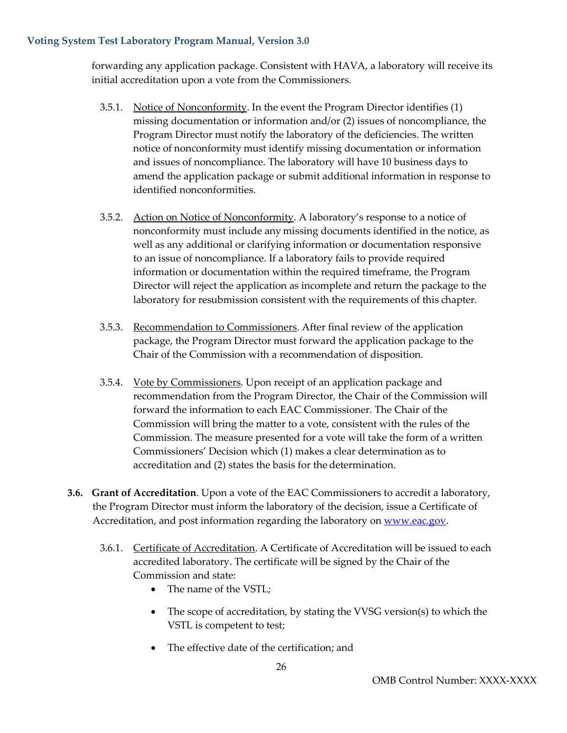forwarding any application package. Consistent with HAVA, a laboratory will receive its initial accreditation upon a vote from the Commissioners.

- 3.5.1. Notice of Nonconformity. In the event the Program Director identifies (1) missing documentation or information and/or (2) issues of noncompliance, the Program Director must notify the laboratory of the deficiencies. The written notice of nonconformity must identify missing documentation or information and issues of noncompliance. The laboratory will have 10 business days to amend the application package or submit additional information in response to identified nonconformities.
- 3.5.2. Action on Notice of Nonconformity. A laboratory's response to a notice of nonconformity must include any missing documents identified in the notice, as well as any additional or clarifying information or documentation responsive to an issue of noncompliance. If a laboratory fails to provide required information or documentation within the required timeframe, the Program Director will reject the application as incomplete and return the package to the laboratory for resubmission consistent with the requirements of this chapter.
- 3.5.3. Recommendation to Commissioners. After final review of the application package, the Program Director must forward the application package to the Chair of the Commission with a recommendation of disposition.
- 3.5.4. Vote by Commissioners. Upon receipt of an application package and recommendation from the Program Director, the Chair of the Commission will forward the information to each EAC Commissioner. The Chair of the Commission will bring the matter to a vote, consistent with the rules of the Commission. The measure presented for a vote will take the form of a written Commissioners' Decision which (1) makes a clear determination as to accreditation and (2) states the basis for the determination.
- **3.6. Grant of Accreditation**. Upon a vote of the EAC Commissioners to accredit a laboratory, the Program Director must inform the laboratory of the decision, issue a Certificate of Accreditation, and post information regarding the laboratory on [www.eac.gov.](http://www.eac.gov/)
	- 3.6.1. Certificate of Accreditation. A Certificate of Accreditation will be issued to each accredited laboratory. The certificate will be signed by the Chair of the Commission and state:
		- The name of the VSTL;
		- The scope of accreditation, by stating the VVSG version(s) to which the VSTL is competent to test;
		- The effective date of the certification; and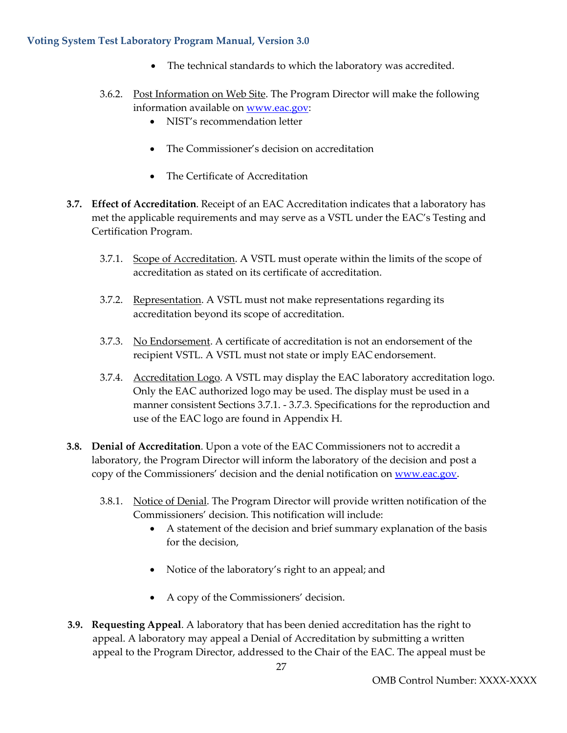- The technical standards to which the laboratory was accredited.
- 3.6.2. Post Information on Web Site. The Program Director will make the following information available on [www.eac.gov:](http://www.eac.gov/)
	- NIST's recommendation letter
	- The Commissioner's decision on accreditation
	- The Certificate of Accreditation
- **3.7. Effect of Accreditation**. Receipt of an EAC Accreditation indicates that a laboratory has met the applicable requirements and may serve as a VSTL under the EAC's Testing and Certification Program.
	- 3.7.1. Scope of Accreditation. A VSTL must operate within the limits of the scope of accreditation as stated on its certificate of accreditation.
	- 3.7.2. Representation. A VSTL must not make representations regarding its accreditation beyond its scope of accreditation.
	- 3.7.3. No Endorsement. A certificate of accreditation is not an endorsement of the recipient VSTL. A VSTL must not state or imply EAC endorsement.
	- 3.7.4. <u>Accreditation Logo</u>. A VSTL may display the EAC laboratory accreditation logo. Only the EAC authorized logo may be used. The display must be used in a manner consistent Sections 3.7.1. - 3.7.3. Specifications for the reproduction and use of the EAC logo are found in Appendix H.
- **3.8. Denial of Accreditation**. Upon a vote of the EAC Commissioners not to accredit a laboratory, the Program Director will inform the laboratory of the decision and post a copy of the Commissioners' decision and the denial notification on [www.eac.gov.](http://www.eac.gov/)
	- 3.8.1. Notice of Denial. The Program Director will provide written notification of the Commissioners' decision. This notification will include:
		- A statement of the decision and brief summary explanation of the basis for the decision,
		- Notice of the laboratory's right to an appeal; and
		- A copy of the Commissioners' decision.
- **3.9. Requesting Appeal**. A laboratory that has been denied accreditation has the right to appeal. A laboratory may appeal a Denial of Accreditation by submitting a written appeal to the Program Director, addressed to the Chair of the EAC. The appeal must be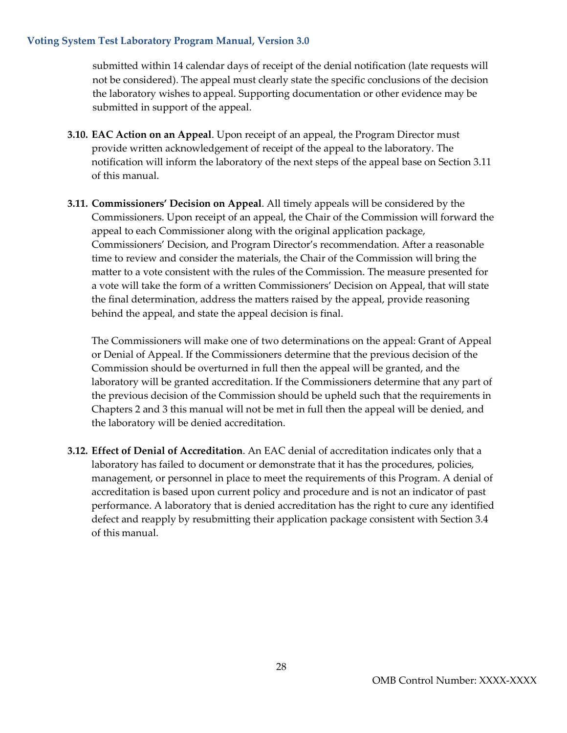submitted within 14 calendar days of receipt of the denial notification (late requests will not be considered). The appeal must clearly state the specific conclusions of the decision the laboratory wishes to appeal. Supporting documentation or other evidence may be submitted in support of the appeal.

- **3.10. EAC Action on an Appeal**. Upon receipt of an appeal, the Program Director must provide written acknowledgement of receipt of the appeal to the laboratory. The notification will inform the laboratory of the next steps of the appeal base on Section 3.11 of this manual.
- **3.11. Commissioners' Decision on Appeal**. All timely appeals will be considered by the Commissioners. Upon receipt of an appeal, the Chair of the Commission will forward the appeal to each Commissioner along with the original application package, Commissioners' Decision, and Program Director's recommendation. After a reasonable time to review and consider the materials, the Chair of the Commission will bring the matter to a vote consistent with the rules of the Commission. The measure presented for a vote will take the form of a written Commissioners' Decision on Appeal, that will state the final determination, address the matters raised by the appeal, provide reasoning behind the appeal, and state the appeal decision is final.

The Commissioners will make one of two determinations on the appeal: Grant of Appeal or Denial of Appeal. If the Commissioners determine that the previous decision of the Commission should be overturned in full then the appeal will be granted, and the laboratory will be granted accreditation. If the Commissioners determine that any part of the previous decision of the Commission should be upheld such that the requirements in Chapters 2 and 3 this manual will not be met in full then the appeal will be denied, and the laboratory will be denied accreditation.

**3.12. Effect of Denial of Accreditation**. An EAC denial of accreditation indicates only that a laboratory has failed to document or demonstrate that it has the procedures, policies, management, or personnel in place to meet the requirements of this Program. A denial of accreditation is based upon current policy and procedure and is not an indicator of past performance. A laboratory that is denied accreditation has the right to cure any identified defect and reapply by resubmitting their application package consistent with Section 3.4 of this manual.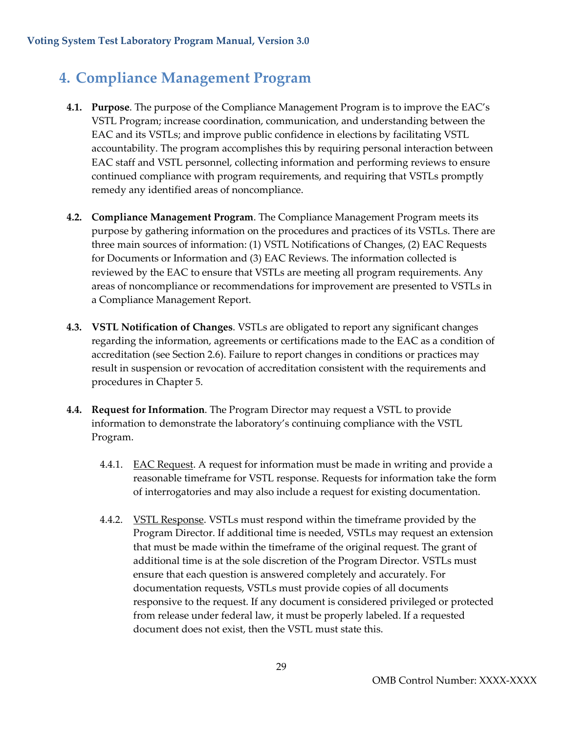### <span id="page-29-0"></span>**4. Compliance Management Program**

- **4.1. Purpose**. The purpose of the Compliance Management Program is to improve the EAC's VSTL Program; increase coordination, communication, and understanding between the EAC and its VSTLs; and improve public confidence in elections by facilitating VSTL accountability. The program accomplishes this by requiring personal interaction between EAC staff and VSTL personnel, collecting information and performing reviews to ensure continued compliance with program requirements, and requiring that VSTLs promptly remedy any identified areas of noncompliance.
- **4.2. Compliance Management Program**. The Compliance Management Program meets its purpose by gathering information on the procedures and practices of its VSTLs. There are three main sources of information: (1) VSTL Notifications of Changes, (2) EAC Requests for Documents or Information and (3) EAC Reviews. The information collected is reviewed by the EAC to ensure that VSTLs are meeting all program requirements. Any areas of noncompliance or recommendations for improvement are presented to VSTLs in a Compliance Management Report.
- **4.3. VSTL Notification of Changes**. VSTLs are obligated to report any significant changes regarding the information, agreements or certifications made to the EAC as a condition of accreditation (see Section 2.6). Failure to report changes in conditions or practices may result in suspension or revocation of accreditation consistent with the requirements and procedures in Chapter 5.
- **4.4. Request for Information**. The Program Director may request a VSTL to provide information to demonstrate the laboratory's continuing compliance with the VSTL Program.
	- 4.4.1. EAC Request. A request for information must be made in writing and provide a reasonable timeframe for VSTL response. Requests for information take the form of interrogatories and may also include a request for existing documentation.
	- 4.4.2. VSTL Response. VSTLs must respond within the timeframe provided by the Program Director. If additional time is needed, VSTLs may request an extension that must be made within the timeframe of the original request. The grant of additional time is at the sole discretion of the Program Director. VSTLs must ensure that each question is answered completely and accurately. For documentation requests, VSTLs must provide copies of all documents responsive to the request. If any document is considered privileged or protected from release under federal law, it must be properly labeled. If a requested document does not exist, then the VSTL must state this.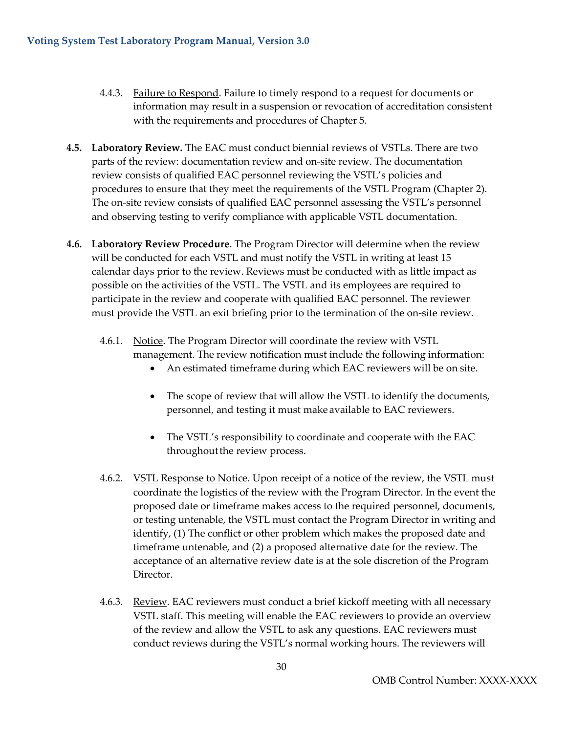- 4.4.3. Failure to Respond. Failure to timely respond to a request for documents or information may result in a suspension or revocation of accreditation consistent with the requirements and procedures of Chapter 5.
- **4.5. Laboratory Review.** The EAC must conduct biennial reviews of VSTLs. There are two parts of the review: documentation review and on-site review. The documentation review consists of qualified EAC personnel reviewing the VSTL's policies and procedures to ensure that they meet the requirements of the VSTL Program (Chapter 2). The on-site review consists of qualified EAC personnel assessing the VSTL's personnel and observing testing to verify compliance with applicable VSTL documentation.
- **4.6. Laboratory Review Procedure**. The Program Director will determine when the review will be conducted for each VSTL and must notify the VSTL in writing at least 15 calendar days prior to the review. Reviews must be conducted with as little impact as possible on the activities of the VSTL. The VSTL and its employees are required to participate in the review and cooperate with qualified EAC personnel. The reviewer must provide the VSTL an exit briefing prior to the termination of the on-site review.
	- 4.6.1. Notice. The Program Director will coordinate the review with VSTL management. The review notification must include the following information:
		- An estimated timeframe during which EAC reviewers will be on site.
		- The scope of review that will allow the VSTL to identify the documents, personnel, and testing it must make available to EAC reviewers.
		- The VSTL's responsibility to coordinate and cooperate with the EAC throughout the review process.
	- 4.6.2. VSTL Response to Notice. Upon receipt of a notice of the review, the VSTL must coordinate the logistics of the review with the Program Director. In the event the proposed date or timeframe makes access to the required personnel, documents, or testing untenable, the VSTL must contact the Program Director in writing and identify, (1) The conflict or other problem which makes the proposed date and timeframe untenable, and (2) a proposed alternative date for the review. The acceptance of an alternative review date is at the sole discretion of the Program Director.
	- 4.6.3. Review. EAC reviewers must conduct a brief kickoff meeting with all necessary VSTL staff. This meeting will enable the EAC reviewers to provide an overview of the review and allow the VSTL to ask any questions. EAC reviewers must conduct reviews during the VSTL's normal working hours. The reviewers will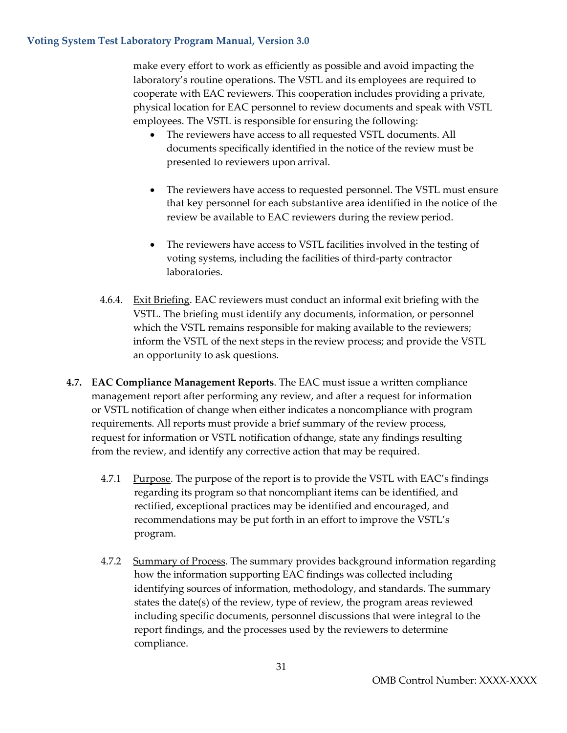make every effort to work as efficiently as possible and avoid impacting the laboratory's routine operations. The VSTL and its employees are required to cooperate with EAC reviewers. This cooperation includes providing a private, physical location for EAC personnel to review documents and speak with VSTL employees. The VSTL is responsible for ensuring the following:

- The reviewers have access to all requested VSTL documents. All documents specifically identified in the notice of the review must be presented to reviewers upon arrival.
- The reviewers have access to requested personnel. The VSTL must ensure that key personnel for each substantive area identified in the notice of the review be available to EAC reviewers during the review period.
- The reviewers have access to VSTL facilities involved in the testing of voting systems, including the facilities of third-party contractor laboratories.
- 4.6.4. Exit Briefing. EAC reviewers must conduct an informal exit briefing with the VSTL. The briefing must identify any documents, information, or personnel which the VSTL remains responsible for making available to the reviewers; inform the VSTL of the next steps in the review process; and provide the VSTL an opportunity to ask questions.
- **4.7. EAC Compliance Management Reports**. The EAC must issue a written compliance management report after performing any review, and after a request for information or VSTL notification of change when either indicates a noncompliance with program requirements. All reports must provide a brief summary of the review process, request for information or VSTL notification of change, state any findings resulting from the review, and identify any corrective action that may be required.
	- 4.7.1 Purpose. The purpose of the report is to provide the VSTL with EAC's findings regarding its program so that noncompliant items can be identified, and rectified, exceptional practices may be identified and encouraged, and recommendations may be put forth in an effort to improve the VSTL's program.
	- 4.7.2 Summary of Process. The summary provides background information regarding how the information supporting EAC findings was collected including identifying sources of information, methodology, and standards. The summary states the date(s) of the review, type of review, the program areas reviewed including specific documents, personnel discussions that were integral to the report findings, and the processes used by the reviewers to determine compliance.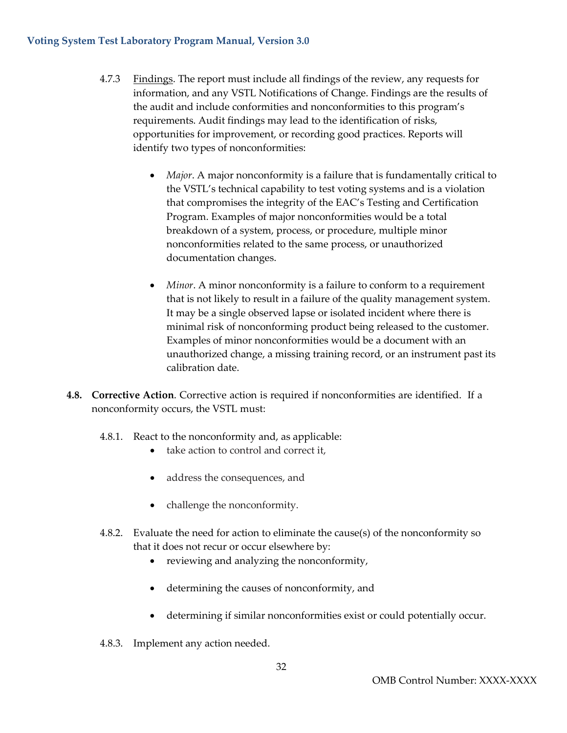- 4.7.3 Findings. The report must include all findings of the review, any requests for information, and any VSTL Notifications of Change. Findings are the results of the audit and include conformities and nonconformities to this program's requirements. Audit findings may lead to the identification of risks, opportunities for improvement, or recording good practices. Reports will identify two types of nonconformities:
	- *Major*. A major nonconformity is a failure that is fundamentally critical to the VSTL's technical capability to test voting systems and is a violation that compromises the integrity of the EAC's Testing and Certification Program. Examples of major nonconformities would be a total breakdown of a system, process, or procedure, multiple minor nonconformities related to the same process, or unauthorized documentation changes.
	- *Minor*. A minor nonconformity is a failure to conform to a requirement that is not likely to result in a failure of the quality management system. It may be a single observed lapse or isolated incident where there is minimal risk of nonconforming product being released to the customer. Examples of minor nonconformities would be a document with an unauthorized change, a missing training record, or an instrument past its calibration date.
- **4.8. Corrective Action**. Corrective action is required if nonconformities are identified. If a nonconformity occurs, the VSTL must:
	- 4.8.1. React to the nonconformity and, as applicable:
		- take action to control and correct it,
		- address the consequences, and
		- challenge the nonconformity.
	- 4.8.2. Evaluate the need for action to eliminate the cause(s) of the nonconformity so that it does not recur or occur elsewhere by:
		- reviewing and analyzing the nonconformity,
		- determining the causes of nonconformity, and
		- determining if similar nonconformities exist or could potentially occur.
	- 4.8.3. Implement any action needed.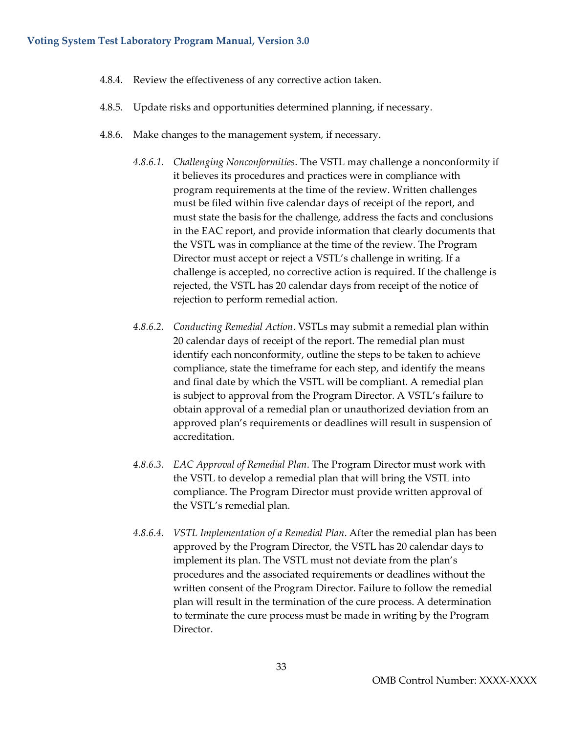- 4.8.4. Review the effectiveness of any corrective action taken.
- 4.8.5. Update risks and opportunities determined planning, if necessary.
- 4.8.6. Make changes to the management system, if necessary.
	- *4.8.6.1. Challenging Nonconformities*. The VSTL may challenge a nonconformity if it believes its procedures and practices were in compliance with program requirements at the time of the review. Written challenges must be filed within five calendar days of receipt of the report, and must state the basis for the challenge, address the facts and conclusions in the EAC report, and provide information that clearly documents that the VSTL was in compliance at the time of the review. The Program Director must accept or reject a VSTL's challenge in writing. If a challenge is accepted, no corrective action is required. If the challenge is rejected, the VSTL has 20 calendar days from receipt of the notice of rejection to perform remedial action.
	- *4.8.6.2. Conducting Remedial Action*. VSTLs may submit a remedial plan within 20 calendar days of receipt of the report. The remedial plan must identify each nonconformity, outline the steps to be taken to achieve compliance, state the timeframe for each step, and identify the means and final date by which the VSTL will be compliant. A remedial plan is subject to approval from the Program Director. A VSTL's failure to obtain approval of a remedial plan or unauthorized deviation from an approved plan's requirements or deadlines will result in suspension of accreditation.
	- *4.8.6.3. EAC Approval of Remedial Plan*. The Program Director must work with the VSTL to develop a remedial plan that will bring the VSTL into compliance. The Program Director must provide written approval of the VSTL's remedial plan.
	- *4.8.6.4. VSTL Implementation of a Remedial Plan*. After the remedial plan has been approved by the Program Director, the VSTL has 20 calendar days to implement its plan. The VSTL must not deviate from the plan's procedures and the associated requirements or deadlines without the written consent of the Program Director. Failure to follow the remedial plan will result in the termination of the cure process. A determination to terminate the cure process must be made in writing by the Program Director.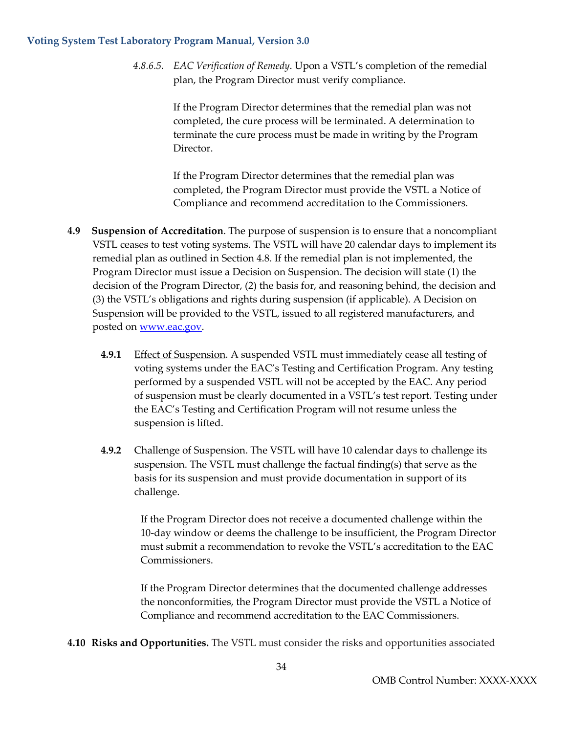*4.8.6.5. EAC Verification of Remedy*. Upon a VSTL's completion of the remedial plan, the Program Director must verify compliance.

> If the Program Director determines that the remedial plan was not completed, the cure process will be terminated. A determination to terminate the cure process must be made in writing by the Program Director.

> If the Program Director determines that the remedial plan was completed, the Program Director must provide the VSTL a Notice of Compliance and recommend accreditation to the Commissioners.

- **4.9 Suspension of Accreditation**. The purpose of suspension is to ensure that a noncompliant VSTL ceases to test voting systems. The VSTL will have 20 calendar days to implement its remedial plan as outlined in Section 4.8. If the remedial plan is not implemented, the Program Director must issue a Decision on Suspension. The decision will state (1) the decision of the Program Director, (2) the basis for, and reasoning behind, the decision and (3) the VSTL's obligations and rights during suspension (if applicable). A Decision on Suspension will be provided to the VSTL, issued to all registered manufacturers, and posted on <u>www.eac.gov</u>.
	- **4.9.1** Effect of Suspension. A suspended VSTL must immediately cease all testing of voting systems under the EAC's Testing and Certification Program. Any testing performed by a suspended VSTL will not be accepted by the EAC. Any period of suspension must be clearly documented in a VSTL's test report. Testing under the EAC's Testing and Certification Program will not resume unless the suspension is lifted.
	- **4.9.2** Challenge of Suspension. The VSTL will have 10 calendar days to challenge its suspension. The VSTL must challenge the factual finding(s) that serve as the basis for its suspension and must provide documentation in support of its challenge.

If the Program Director does not receive a documented challenge within the 10-day window or deems the challenge to be insufficient, the Program Director must submit a recommendation to revoke the VSTL's accreditation to the EAC Commissioners.

If the Program Director determines that the documented challenge addresses the nonconformities, the Program Director must provide the VSTL a Notice of Compliance and recommend accreditation to the EAC Commissioners.

**4.10 Risks and Opportunities.** The VSTL must consider the risks and opportunities associated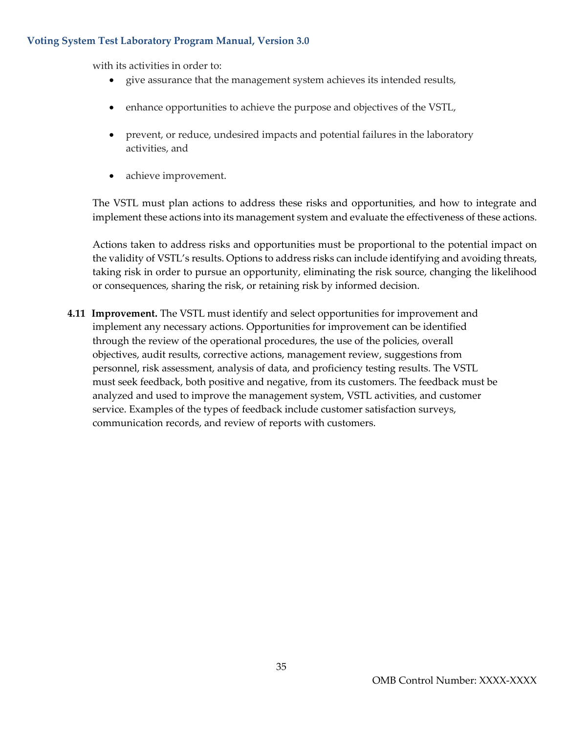with its activities in order to:

- give assurance that the management system achieves its intended results,
- enhance opportunities to achieve the purpose and objectives of the VSTL,
- prevent, or reduce, undesired impacts and potential failures in the laboratory activities, and
- achieve improvement.

The VSTL must plan actions to address these risks and opportunities, and how to integrate and implement these actions into its management system and evaluate the effectiveness of these actions.

Actions taken to address risks and opportunities must be proportional to the potential impact on the validity of VSTL's results. Options to address risks can include identifying and avoiding threats, taking risk in order to pursue an opportunity, eliminating the risk source, changing the likelihood or consequences, sharing the risk, or retaining risk by informed decision.

**4.11 Improvement.** The VSTL must identify and select opportunities for improvement and implement any necessary actions. Opportunities for improvement can be identified through the review of the operational procedures, the use of the policies, overall objectives, audit results, corrective actions, management review, suggestions from personnel, risk assessment, analysis of data, and proficiency testing results. The VSTL must seek feedback, both positive and negative, from its customers. The feedback must be analyzed and used to improve the management system, VSTL activities, and customer service. Examples of the types of feedback include customer satisfaction surveys, communication records, and review of reports with customers.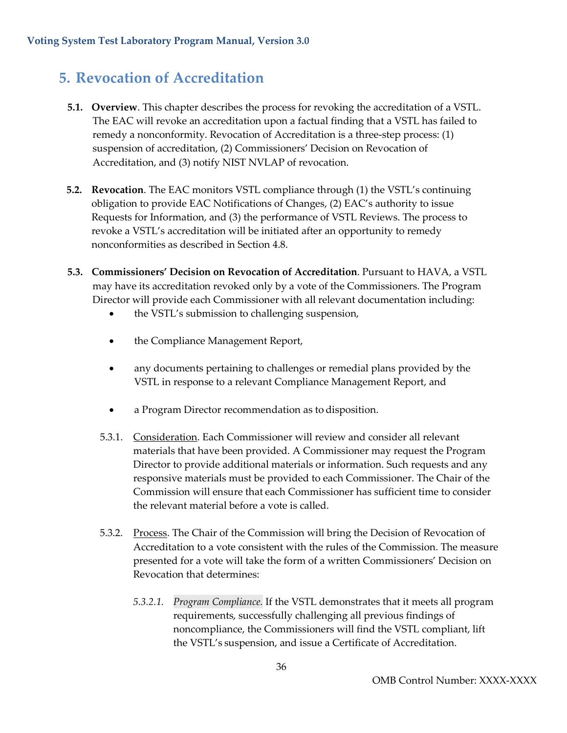### <span id="page-36-0"></span>**5. Revocation of Accreditation**

- **5.1. Overview**. This chapter describes the process for revoking the accreditation of a VSTL. The EAC will revoke an accreditation upon a factual finding that a VSTL has failed to remedy a nonconformity. Revocation of Accreditation is a three-step process: (1) suspension of accreditation, (2) Commissioners' Decision on Revocation of Accreditation, and (3) notify NIST NVLAP of revocation.
- **5.2. Revocation**. The EAC monitors VSTL compliance through (1) the VSTL's continuing obligation to provide EAC Notifications of Changes, (2) EAC's authority to issue Requests for Information, and (3) the performance of VSTL Reviews. The process to revoke a VSTL's accreditation will be initiated after an opportunity to remedy nonconformities as described in Section 4.8.
- **5.3. Commissioners' Decision on Revocation of Accreditation**. Pursuant to HAVA, a VSTL may have its accreditation revoked only by a vote of the Commissioners. The Program Director will provide each Commissioner with all relevant documentation including:
	- the VSTL's submission to challenging suspension,
	- the Compliance Management Report,
	- any documents pertaining to challenges or remedial plans provided by the VSTL in response to a relevant Compliance Management Report, and
	- a Program Director recommendation as to disposition.
	- 5.3.1. Consideration. Each Commissioner will review and consider all relevant materials that have been provided. A Commissioner may request the Program Director to provide additional materials or information. Such requests and any responsive materials must be provided to each Commissioner. The Chair of the Commission will ensure that each Commissioner has sufficient time to consider the relevant material before a vote is called.
	- 5.3.2. Process. The Chair of the Commission will bring the Decision of Revocation of Accreditation to a vote consistent with the rules of the Commission. The measure presented for a vote will take the form of a written Commissioners' Decision on Revocation that determines:
		- *5.3.2.1. Program Compliance.* If the VSTL demonstrates that it meets all program requirements, successfully challenging all previous findings of noncompliance, the Commissioners will find the VSTL compliant, lift the VSTL's suspension, and issue a Certificate of Accreditation.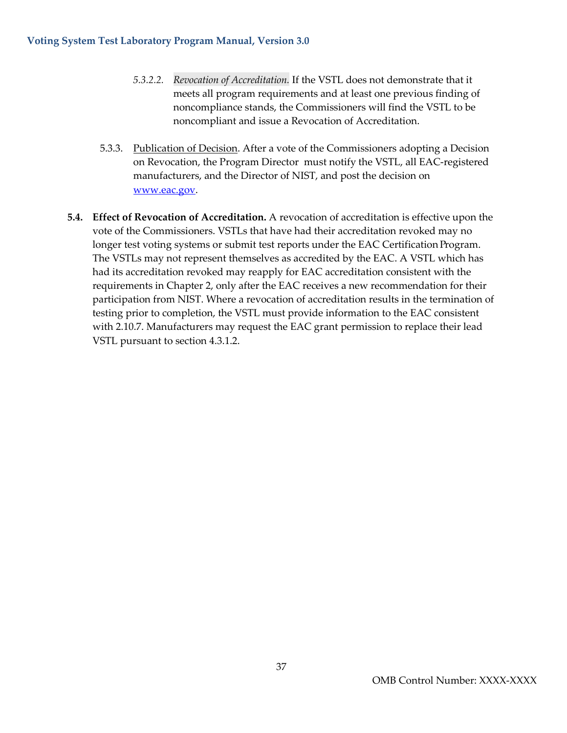- *5.3.2.2. Revocation of Accreditation.* If the VSTL does not demonstrate that it meets all program requirements and at least one previous finding of noncompliance stands, the Commissioners will find the VSTL to be noncompliant and issue a Revocation of Accreditation.
- 5.3.3. Publication of Decision. After a vote of the Commissioners adopting a Decision on Revocation, the Program Director must notify the VSTL, all EAC-registered manufacturers, and the Director of NIST, and post the decision on [www.eac.gov.](http://www.eac.gov/)
- **5.4. Effect of Revocation of Accreditation.** A revocation of accreditation is effective upon the vote of the Commissioners. VSTLs that have had their accreditation revoked may no longer test voting systems or submit test reports under the EAC Certification Program. The VSTLs may not represent themselves as accredited by the EAC. A VSTL which has had its accreditation revoked may reapply for EAC accreditation consistent with the requirements in Chapter 2, only after the EAC receives a new recommendation for their participation from NIST. Where a revocation of accreditation results in the termination of testing prior to completion, the VSTL must provide information to the EAC consistent with 2.10.7. Manufacturers may request the EAC grant permission to replace their lead VSTL pursuant to section 4.3.1.2.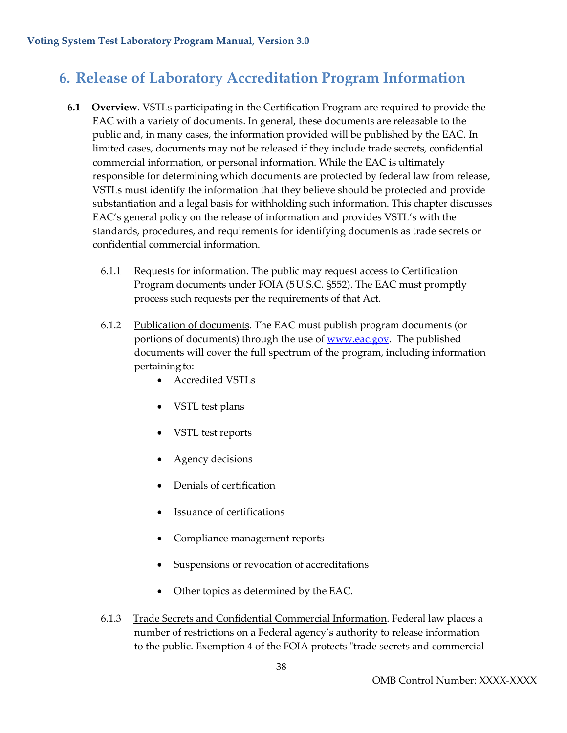### <span id="page-38-0"></span>**6. Release of Laboratory Accreditation Program Information**

- **6.1 Overview**. VSTLs participating in the Certification Program are required to provide the EAC with a variety of documents. In general, these documents are releasable to the public and, in many cases, the information provided will be published by the EAC. In limited cases, documents may not be released if they include trade secrets, confidential commercial information, or personal information. While the EAC is ultimately responsible for determining which documents are protected by federal law from release, VSTLs must identify the information that they believe should be protected and provide substantiation and a legal basis for withholding such information. This chapter discusses EAC's general policy on the release of information and provides VSTL's with the standards, procedures, and requirements for identifying documents as trade secrets or confidential commercial information.
	- 6.1.1 Requests for information. The public may request access to Certification Program documents under FOIA (5U.S.C. §552). The EAC must promptly process such requests per the requirements of that Act.
	- 6.1.2 Publication of documents. The EAC must publish program documents (or portions of documents) through the use of **WWW.eac.gov**. The published documents will cover the full spectrum of the program, including information pertaining to:
		- Accredited VSTLs
		- VSTL test plans
		- VSTL test reports
		- Agency decisions
		- Denials of certification
		- Issuance of certifications
		- Compliance management reports
		- Suspensions or revocation of accreditations
		- Other topics as determined by the EAC.
	- 6.1.3 Trade Secrets and Confidential Commercial Information. Federal law places a number of restrictions on a Federal agency's authority to release information to the public. Exemption 4 of the FOIA protects "trade secrets and commercial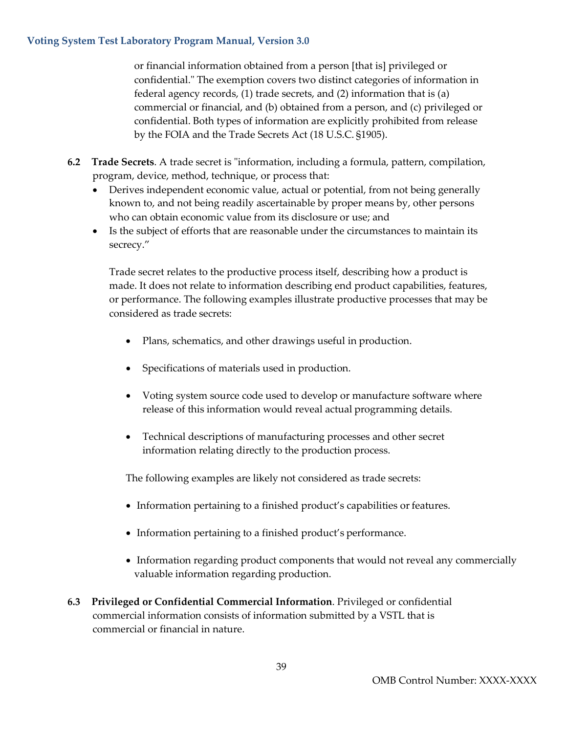or financial information obtained from a person [that is] privileged or confidential." The exemption covers two distinct categories of information in federal agency records, (1) trade secrets, and (2) information that is (a) commercial or financial, and (b) obtained from a person, and (c) privileged or confidential. Both types of information are explicitly prohibited from release by the FOIA and the Trade Secrets Act (18 U.S.C. §1905).

- **6.2 Trade Secrets**. A trade secret is "information, including a formula, pattern, compilation, program, device, method, technique, or process that:
	- Derives independent economic value, actual or potential, from not being generally known to, and not being readily ascertainable by proper means by, other persons who can obtain economic value from its disclosure or use; and
	- Is the subject of efforts that are reasonable under the circumstances to maintain its secrecy."

Trade secret relates to the productive process itself, describing how a product is made. It does not relate to information describing end product capabilities, features, or performance. The following examples illustrate productive processes that may be considered as trade secrets:

- Plans, schematics, and other drawings useful in production.
- Specifications of materials used in production.
- Voting system source code used to develop or manufacture software where release of this information would reveal actual programming details.
- Technical descriptions of manufacturing processes and other secret information relating directly to the production process.

The following examples are likely not considered as trade secrets:

- Information pertaining to a finished product's capabilities or features.
- Information pertaining to a finished product's performance.
- Information regarding product components that would not reveal any commercially valuable information regarding production.
- **6.3 Privileged or Confidential Commercial Information**. Privileged or confidential commercial information consists of information submitted by a VSTL that is commercial or financial in nature.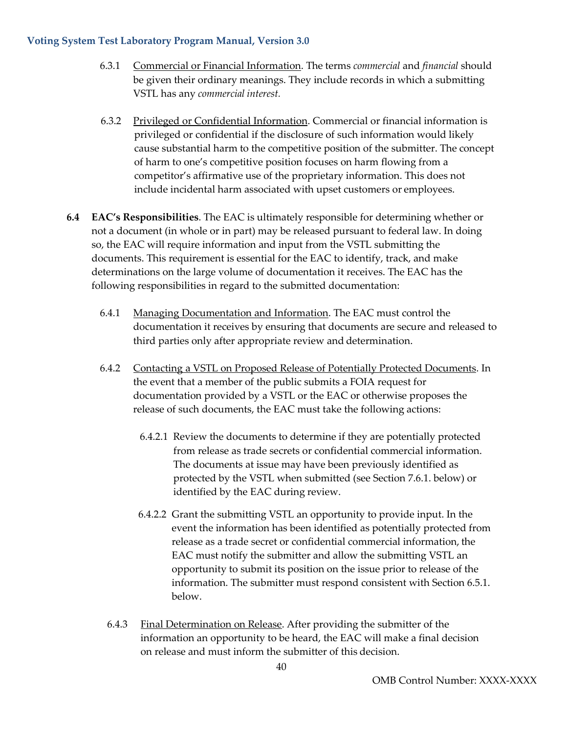- 6.3.1 Commercial or Financial Information. The terms *commercial* and *financial* should be given their ordinary meanings. They include records in which a submitting VSTL has any *commercial interest.*
- 6.3.2 Privileged or Confidential Information. Commercial or financial information is privileged or confidential if the disclosure of such information would likely cause substantial harm to the competitive position of the submitter. The concept of harm to one's competitive position focuses on harm flowing from a competitor's affirmative use of the proprietary information. This does not include incidental harm associated with upset customers or employees.
- **6.4 EAC's Responsibilities**. The EAC is ultimately responsible for determining whether or not a document (in whole or in part) may be released pursuant to federal law. In doing so, the EAC will require information and input from the VSTL submitting the documents. This requirement is essential for the EAC to identify, track, and make determinations on the large volume of documentation it receives. The EAC has the following responsibilities in regard to the submitted documentation:
	- 6.4.1 Managing Documentation and Information. The EAC must control the documentation it receives by ensuring that documents are secure and released to third parties only after appropriate review and determination.
	- 6.4.2 Contacting a VSTL on Proposed Release of Potentially Protected Documents. In the event that a member of the public submits a FOIA request for documentation provided by a VSTL or the EAC or otherwise proposes the release of such documents, the EAC must take the following actions:
		- 6.4.2.1 Review the documents to determine if they are potentially protected from release as trade secrets or confidential commercial information. The documents at issue may have been previously identified as protected by the VSTL when submitted (see Section 7.6.1. below) or identified by the EAC during review.
		- 6.4.2.2 Grant the submitting VSTL an opportunity to provide input. In the event the information has been identified as potentially protected from release as a trade secret or confidential commercial information, the EAC must notify the submitter and allow the submitting VSTL an opportunity to submit its position on the issue prior to release of the information. The submitter must respond consistent with Section 6.5.1. below.
		- 6.4.3 Final Determination on Release. After providing the submitter of the information an opportunity to be heard, the EAC will make a final decision on release and must inform the submitter of this decision.

40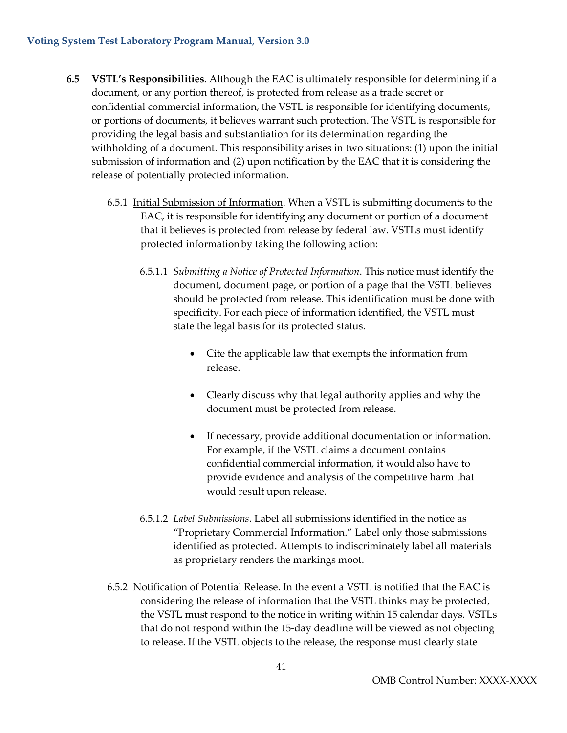- **6.5 VSTL's Responsibilities**. Although the EAC is ultimately responsible for determining if a document, or any portion thereof, is protected from release as a trade secret or confidential commercial information, the VSTL is responsible for identifying documents, or portions of documents, it believes warrant such protection. The VSTL is responsible for providing the legal basis and substantiation for its determination regarding the withholding of a document. This responsibility arises in two situations: (1) upon the initial submission of information and (2) upon notification by the EAC that it is considering the release of potentially protected information.
	- 6.5.1 Initial Submission of Information. When a VSTL is submitting documents to the EAC, it is responsible for identifying any document or portion of a document that it believes is protected from release by federal law. VSTLs must identify protected information by taking the following action:
		- 6.5.1.1 *Submitting a Notice of Protected Information*. This notice must identify the document, document page, or portion of a page that the VSTL believes should be protected from release. This identification must be done with specificity. For each piece of information identified, the VSTL must state the legal basis for its protected status.
			- Cite the applicable law that exempts the information from release.
			- Clearly discuss why that legal authority applies and why the document must be protected from release.
			- If necessary, provide additional documentation or information. For example, if the VSTL claims a document contains confidential commercial information, it wouldalso have to provide evidence and analysis of the competitive harm that would result upon release.
		- 6.5.1.2 *Label Submissions*. Label all submissions identified in the notice as "Proprietary Commercial Information." Label only those submissions identified as protected. Attempts to indiscriminately label all materials as proprietary renders the markings moot.
	- 6.5.2 Notification of Potential Release. In the event a VSTL is notified that the EAC is considering the release of information that the VSTL thinks may be protected, the VSTL must respond to the notice in writing within 15 calendar days. VSTLs that do not respond within the 15-day deadline will be viewed as not objecting to release. If the VSTL objects to the release, the response must clearly state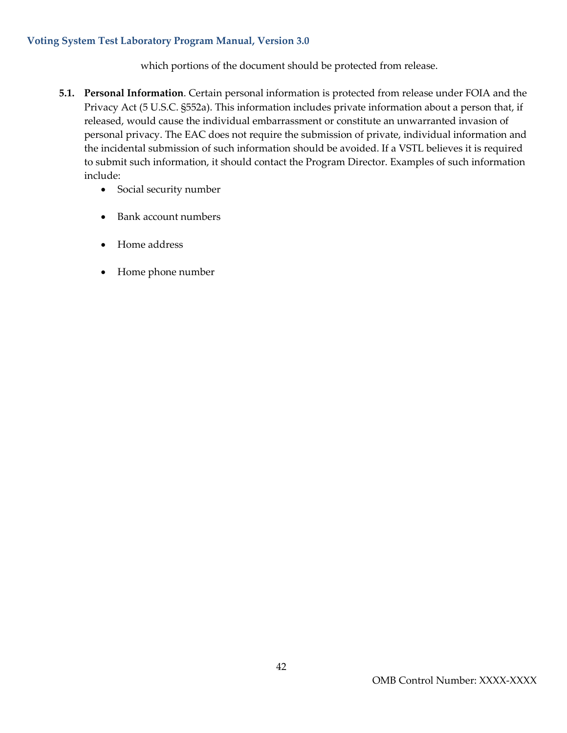which portions of the document should be protected from release.

- **5.1. Personal Information**. Certain personal information is protected from release under FOIA and the Privacy Act (5 U.S.C. §552a). This information includes private information about a person that, if released, would cause the individual embarrassment or constitute an unwarranted invasion of personal privacy. The EAC does not require the submission of private, individual information and the incidental submission of such information should be avoided. If a VSTL believes it is required to submit such information, it should contact the Program Director. Examples of such information include:
	- Social security number
	- Bank account numbers
	- Home address
	- Home phone number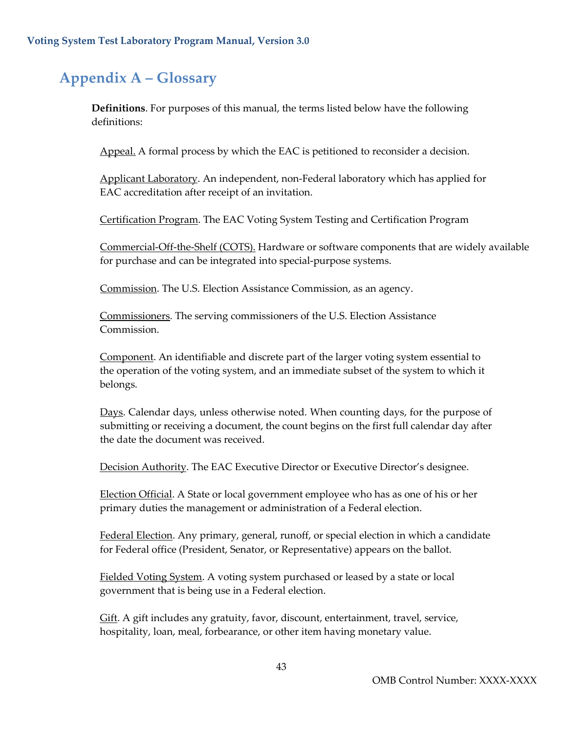### <span id="page-43-0"></span>**Appendix A – Glossary**

**Definitions**. For purposes of this manual, the terms listed below have the following definitions:

Appeal. A formal process by which the EAC is petitioned to reconsider a decision.

Applicant Laboratory. An independent, non-Federal laboratory which has applied for EAC accreditation after receipt of an invitation.

Certification Program. The EAC Voting System Testing and Certification Program

Commercial-Off-the-Shelf (COTS). Hardware or software components that are widely available for purchase and can be integrated into special-purpose systems.

Commission. The U.S. Election Assistance Commission, as an agency.

Commissioners. The serving commissioners of the U.S. Election Assistance Commission.

Component. An identifiable and discrete part of the larger voting system essential to the operation of the voting system, and an immediate subset of the system to which it belongs.

Days. Calendar days, unless otherwise noted. When counting days, for the purpose of submitting or receiving a document, the count begins on the first full calendar day after the date the document was received.

Decision Authority. The EAC Executive Director or Executive Director's designee.

Election Official. A State or local government employee who has as one of his or her primary duties the management or administration of a Federal election.

Federal Election. Any primary, general, runoff, or special election in which a candidate for Federal office (President, Senator, or Representative) appears on the ballot.

Fielded Voting System. A voting system purchased or leased by a state or local government that is being use in a Federal election.

Gift. A gift includes any gratuity, favor, discount, entertainment, travel, service, hospitality, loan, meal, forbearance, or other item having monetary value.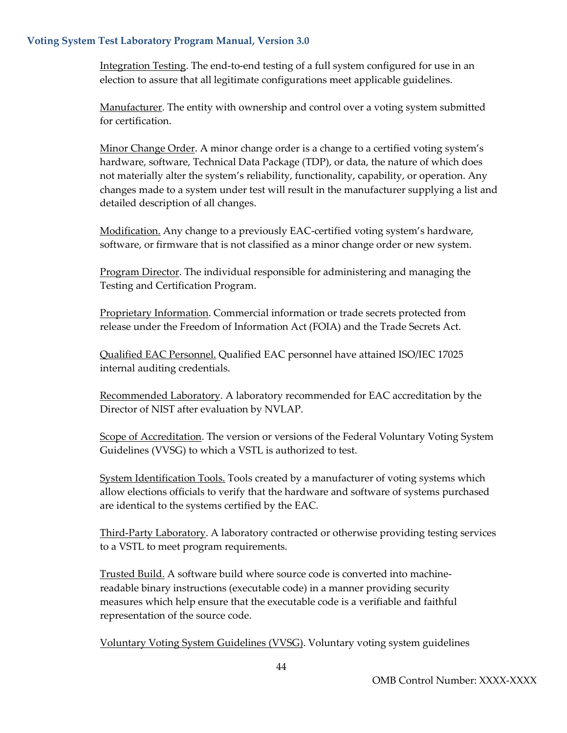Integration Testing. The end-to-end testing of a full system configured for use in an election to assure that all legitimate configurations meet applicable guidelines.

Manufacturer. The entity with ownership and control over a voting system submitted for certification.

Minor Change Order. A minor change order is a change to a certified voting system's hardware, software, Technical Data Package (TDP), or data, the nature of which does not materially alter the system's reliability, functionality, capability, or operation. Any changes made to a system under test will result in the manufacturer supplying a list and detailed description of all changes.

Modification. Any change to a previously EAC-certified voting system's hardware, software, or firmware that is not classified as a minor change order or new system.

Program Director. The individual responsible for administering and managing the Testing and Certification Program.

Proprietary Information. Commercial information or trade secrets protected from release under the Freedom of Information Act (FOIA) and the Trade Secrets Act.

Qualified EAC Personnel. Qualified EAC personnel have attained ISO/IEC 17025 internal auditing credentials.

Recommended Laboratory. A laboratory recommended for EAC accreditation by the Director of NIST after evaluation by NVLAP.

Scope of Accreditation. The version or versions of the Federal Voluntary Voting System Guidelines (VVSG) to which a VSTL is authorized to test.

System Identification Tools. Tools created by a manufacturer of voting systems which allow elections officials to verify that the hardware and software of systems purchased are identical to the systems certified by the EAC.

Third-Party Laboratory. A laboratory contracted or otherwise providing testing services to a VSTL to meet program requirements.

Trusted Build. A software build where source code is converted into machinereadable binary instructions (executable code) in a manner providing security measures which help ensure that the executable code is a verifiable and faithful representation of the source code.

Voluntary Voting System Guidelines (VVSG). Voluntary voting system guidelines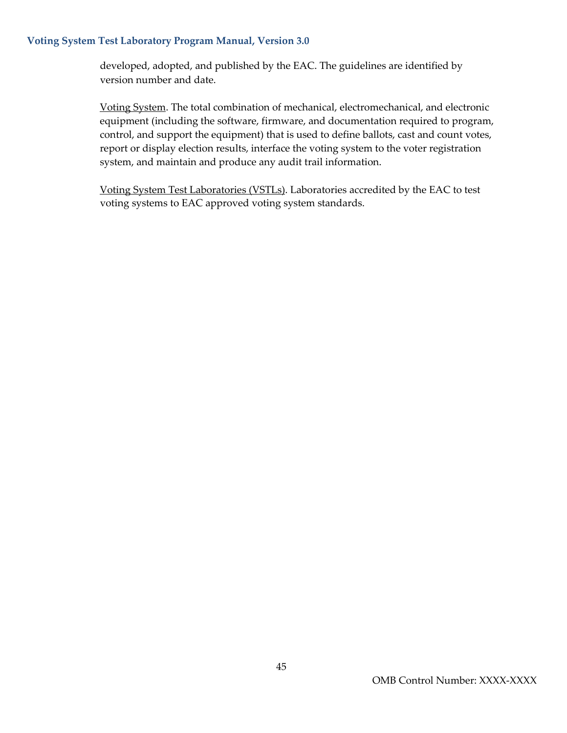developed, adopted, and published by the EAC. The guidelines are identified by version number and date.

Voting System. The total combination of mechanical, electromechanical, and electronic equipment (including the software, firmware, and documentation required to program, control, and support the equipment) that is used to define ballots, cast and count votes, report or display election results, interface the voting system to the voter registration system, and maintain and produce any audit trail information.

Voting System Test Laboratories (VSTLs). Laboratories accredited by the EAC to test voting systems to EAC approved voting system standards.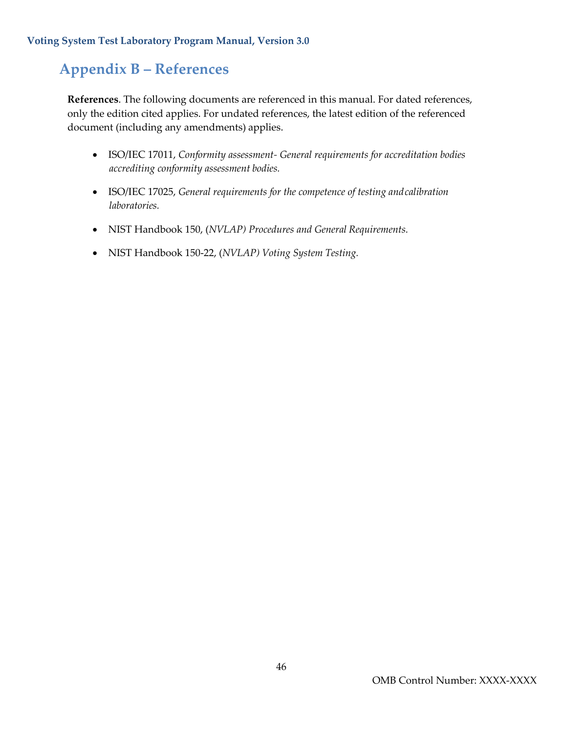### <span id="page-46-0"></span>**Appendix B – References**

**References**. The following documents are referenced in this manual. For dated references, only the edition cited applies. For undated references, the latest edition of the referenced document (including any amendments) applies.

- ISO/IEC 17011, *Conformity assessment- General requirements for accreditation bodies accrediting conformity assessment bodies.*
- ISO/IEC 17025, *General requirements for the competence of testing andcalibration laboratories.*
- NIST Handbook 150, (*NVLAP) Procedures and General Requirements.*
- NIST Handbook 150-22, (*NVLAP) Voting System Testing.*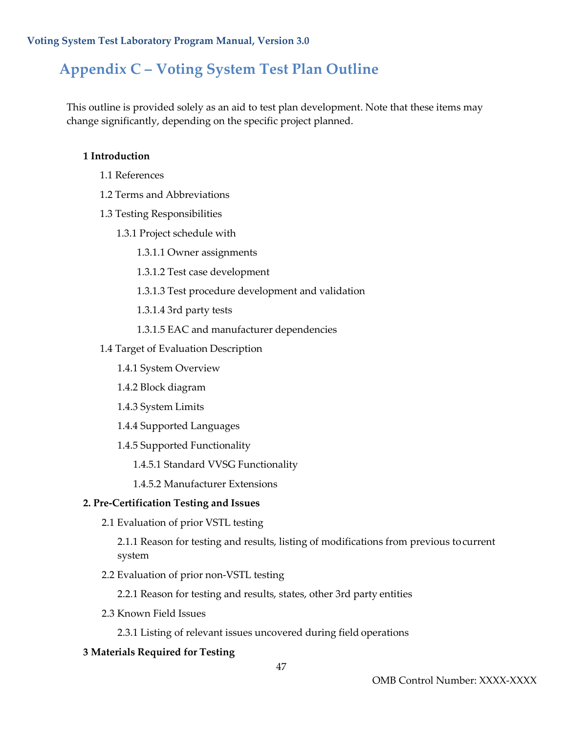### <span id="page-47-0"></span>**Appendix C – Voting System Test Plan Outline**

This outline is provided solely as an aid to test plan development. Note that these items may change significantly, depending on the specific project planned.

#### **1 Introduction**

- 1.1 References
- 1.2 Terms and Abbreviations
- 1.3 Testing Responsibilities
	- 1.3.1 Project schedule with
		- 1.3.1.1 Owner assignments
		- 1.3.1.2 Test case development
		- 1.3.1.3 Test procedure development and validation
		- 1.3.1.4 3rd party tests
		- 1.3.1.5 EAC and manufacturer dependencies
- 1.4 Target of Evaluation Description
	- 1.4.1 System Overview
	- 1.4.2 Block diagram
	- 1.4.3 System Limits
	- 1.4.4 Supported Languages
	- 1.4.5 Supported Functionality
		- 1.4.5.1 Standard VVSG Functionality
		- 1.4.5.2 Manufacturer Extensions

#### **2. Pre-Certification Testing and Issues**

2.1 Evaluation of prior VSTL testing

2.1.1 Reason for testing and results, listing of modifications from previous tocurrent system

2.2 Evaluation of prior non-VSTL testing

2.2.1 Reason for testing and results, states, other 3rd party entities

2.3 Known Field Issues

2.3.1 Listing of relevant issues uncovered during field operations

#### **3 Materials Required for Testing**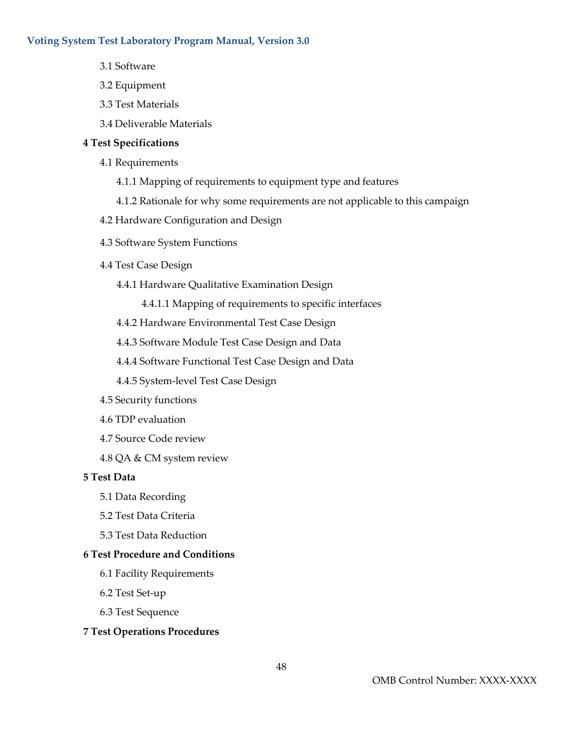- 3.1 Software
- 3.2 Equipment
- 3.3 Test Materials
- 3.4 Deliverable Materials

#### **4 Test Specifications**

- 4.1 Requirements
	- 4.1.1 Mapping of requirements to equipment type and features
	- 4.1.2 Rationale for why some requirements are not applicable to this campaign
- 4.2 Hardware Configuration and Design
- 4.3 Software System Functions
- 4.4 Test Case Design
	- 4.4.1 Hardware Qualitative Examination Design
		- 4.4.1.1 Mapping of requirements to specific interfaces
	- 4.4.2 Hardware Environmental Test Case Design
	- 4.4.3 Software Module Test Case Design and Data
	- 4.4.4 Software Functional Test Case Design and Data
	- 4.4.5 System-level Test Case Design
- 4.5 Security functions
- 4.6 TDP evaluation
- 4.7 Source Code review
- 4.8 QA & CM system review

#### **5 Test Data**

- 5.1 Data Recording
- 5.2 Test Data Criteria
- 5.3 Test Data Reduction

#### **6 Test Procedure and Conditions**

- 6.1 Facility Requirements
- 6.2 Test Set-up
- 6.3 Test Sequence

#### **7 Test Operations Procedures**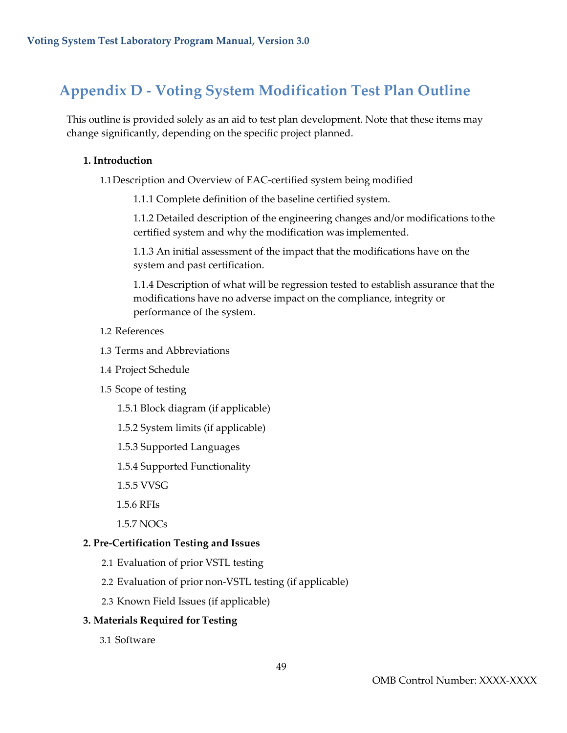### <span id="page-49-0"></span>**Appendix D - Voting System Modification Test Plan Outline**

This outline is provided solely as an aid to test plan development. Note that these items may change significantly, depending on the specific project planned.

#### **1. Introduction**

1.1Description and Overview of EAC-certified system being modified

1.1.1 Complete definition of the baseline certified system.

1.1.2 Detailed description of the engineering changes and/or modifications tothe certified system and why the modification was implemented.

1.1.3 An initial assessment of the impact that the modifications have on the system and past certification.

1.1.4 Description of what will be regression tested to establish assurance that the modifications have no adverse impact on the compliance, integrity or performance of the system.

- 1.2 References
- 1.3 Terms and Abbreviations
- 1.4 Project Schedule
- 1.5 Scope of testing

1.5.1 Block diagram (if applicable)

- 1.5.2 System limits (if applicable)
- 1.5.3 Supported Languages
- 1.5.4 Supported Functionality
- 1.5.5 VVSG
- 1.5.6 RFIs
- 1.5.7 NOCs

#### **2. Pre-Certification Testing and Issues**

- 2.1 Evaluation of prior VSTL testing
- 2.2 Evaluation of prior non-VSTL testing (if applicable)
- 2.3 Known Field Issues (if applicable)

#### **3. Materials Required for Testing**

3.1 Software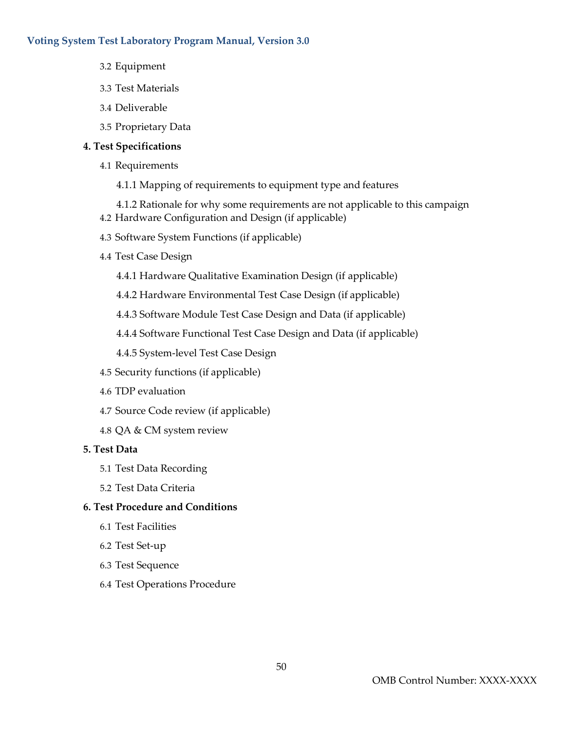- 3.2 Equipment
- 3.3 Test Materials
- 3.4 Deliverable
- 3.5 Proprietary Data

#### **4. Test Specifications**

- 4.1 Requirements
	- 4.1.1 Mapping of requirements to equipment type and features
	- 4.1.2 Rationale for why some requirements are not applicable to this campaign
- 4.2 Hardware Configuration and Design (if applicable)
- 4.3 Software System Functions (if applicable)
- 4.4 Test Case Design
	- 4.4.1 Hardware Qualitative Examination Design (if applicable)
	- 4.4.2 Hardware Environmental Test Case Design (if applicable)
	- 4.4.3 Software Module Test Case Design and Data (if applicable)
	- 4.4.4 Software Functional Test Case Design and Data (if applicable)
	- 4.4.5 System-level Test Case Design
- 4.5 Security functions (if applicable)
- 4.6 TDP evaluation
- 4.7 Source Code review (if applicable)
- 4.8 QA & CM system review

#### **5. Test Data**

- 5.1 Test Data Recording
- 5.2 Test Data Criteria

#### **6. Test Procedure and Conditions**

- 6.1 Test Facilities
- 6.2 Test Set-up
- 6.3 Test Sequence
- 6.4 Test Operations Procedure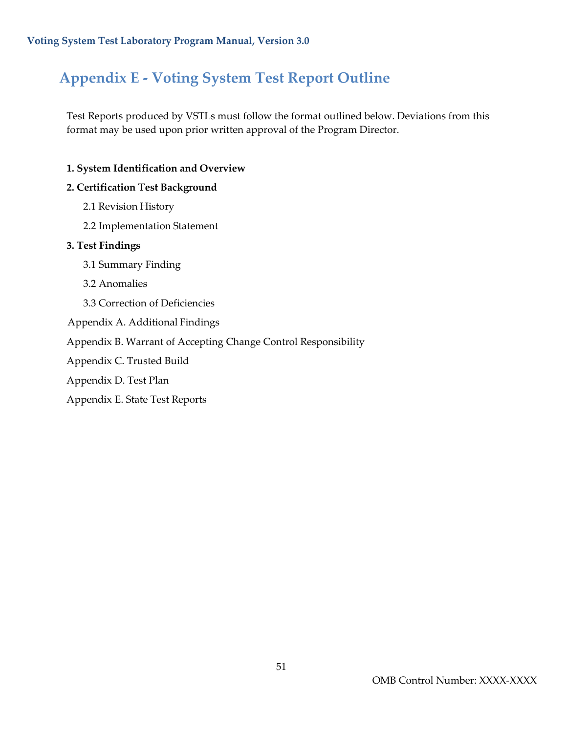### <span id="page-51-0"></span>**Appendix E - Voting System Test Report Outline**

Test Reports produced by VSTLs must follow the format outlined below. Deviations from this format may be used upon prior written approval of the Program Director.

#### **1. System Identification and Overview**

#### **2. Certification Test Background**

- 2.1 Revision History
- 2.2 Implementation Statement

#### **3. Test Findings**

- 3.1 Summary Finding
- 3.2 Anomalies
- 3.3 Correction of Deficiencies
- Appendix A. Additional Findings
- Appendix B. Warrant of Accepting Change Control Responsibility
- Appendix C. Trusted Build
- Appendix D. Test Plan
- Appendix E. State Test Reports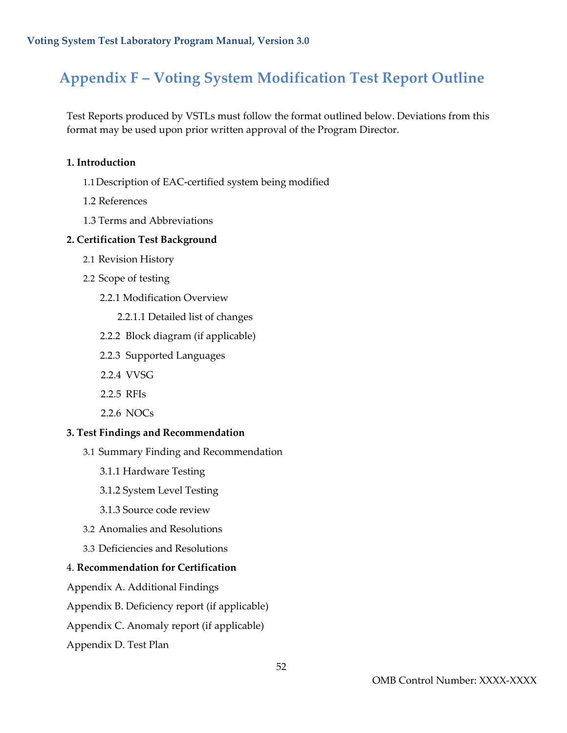### <span id="page-52-0"></span>**Appendix F – Voting System Modification Test Report Outline**

Test Reports produced by VSTLs must follow the format outlined below. Deviations from this format may be used upon prior written approval of the Program Director.

#### **1. Introduction**

- 1.1Description of EAC-certified system being modified
- 1.2 References
- 1.3 Terms and Abbreviations

#### **2. Certification Test Background**

- 2.1 Revision History
- 2.2 Scope of testing
	- 2.2.1 Modification Overview
		- 2.2.1.1 Detailed list of changes
	- 2.2.2 Block diagram (if applicable)
	- 2.2.3 Supported Languages
	- 2.2.4 VVSG
	- 2.2.5 RFIs
	- 2.2.6 NOCs

#### **3. Test Findings and Recommendation**

- 3.1 Summary Finding and Recommendation
	- 3.1.1 Hardware Testing
	- 3.1.2 System Level Testing
	- 3.1.3 Source code review
- 3.2 Anomalies and Resolutions
- 3.3 Deficiencies and Resolutions

#### 4. **Recommendation for Certification**

Appendix A. Additional Findings

Appendix B. Deficiency report (if applicable)

Appendix C. Anomaly report (if applicable)

Appendix D. Test Plan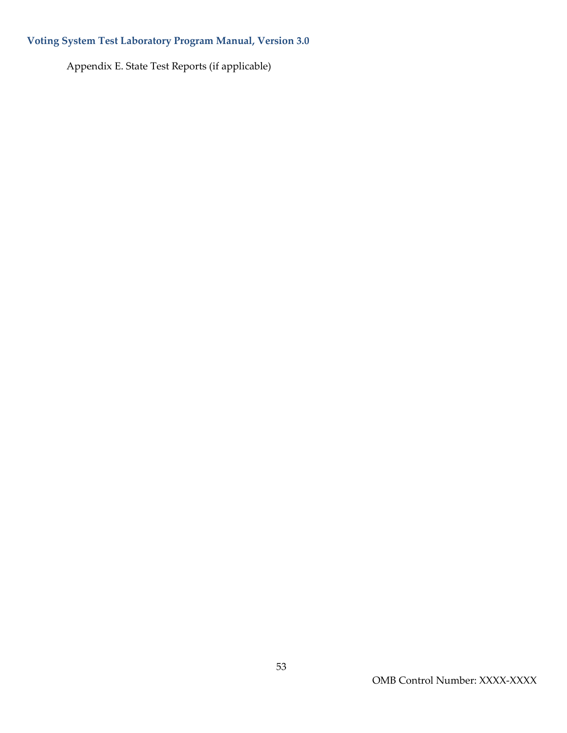Appendix E. State Test Reports (if applicable)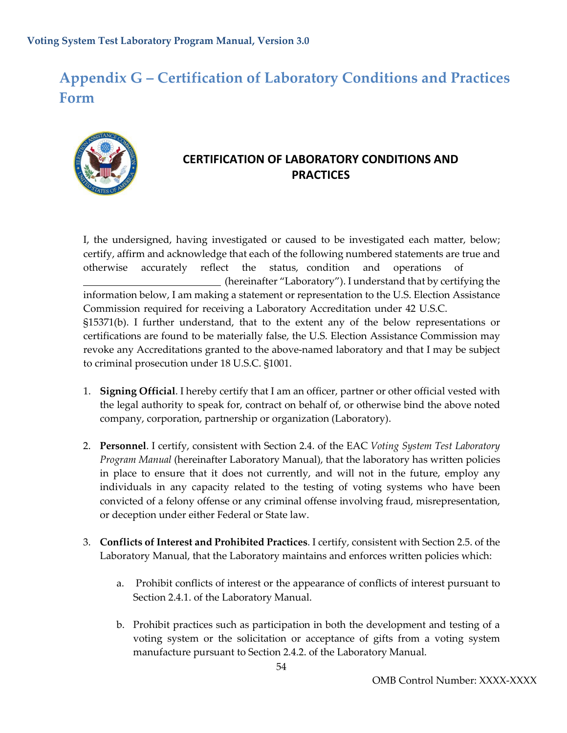### <span id="page-54-0"></span>**Appendix G – Certification of Laboratory Conditions and Practices Form**



#### **CERTIFICATION OF LABORATORY CONDITIONS AND PRACTICES**

I, the undersigned, having investigated or caused to be investigated each matter, below; certify, affirm and acknowledge that each of the following numbered statements are true and otherwise accurately reflect the status, condition and operations of (hereinafter "Laboratory"). I understand that by certifying the information below, I am making a statement or representation to the U.S. Election Assistance Commission required for receiving a Laboratory Accreditation under 42 U.S.C. §15371(b). I further understand, that to the extent any of the below representations or certifications are found to be materially false, the U.S. Election Assistance Commission may revoke any Accreditations granted to the above-named laboratory and that I may be subject to criminal prosecution under 18 U.S.C. §1001.

- 1. **Signing Official**. I hereby certify that I am an officer, partner or other official vested with the legal authority to speak for, contract on behalf of, or otherwise bind the above noted company, corporation, partnership or organization (Laboratory).
- 2. **Personnel**. I certify, consistent with Section 2.4. of the EAC *Voting System Test Laboratory Program Manual* (hereinafter Laboratory Manual), that the laboratory has written policies in place to ensure that it does not currently, and will not in the future, employ any individuals in any capacity related to the testing of voting systems who have been convicted of a felony offense or any criminal offense involving fraud, misrepresentation, or deception under either Federal or State law.
- 3. **Conflicts of Interest and Prohibited Practices**. I certify, consistent with Section 2.5. of the Laboratory Manual, that the Laboratory maintains and enforces written policies which:
	- a. Prohibit conflicts of interest or the appearance of conflicts of interest pursuant to Section 2.4.1. of the Laboratory Manual.
	- b. Prohibit practices such as participation in both the development and testing of a voting system or the solicitation or acceptance of gifts from a voting system manufacture pursuant to Section 2.4.2. of the Laboratory Manual.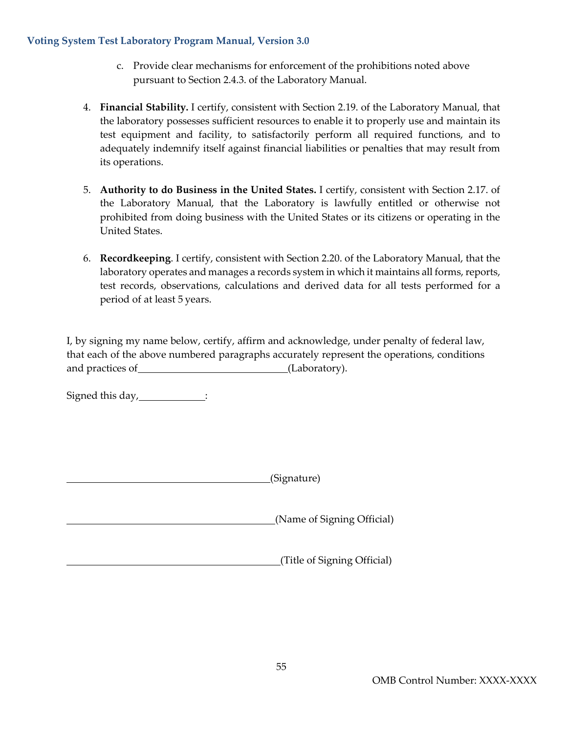- c. Provide clear mechanisms for enforcement of the prohibitions noted above pursuant to Section 2.4.3. of the Laboratory Manual.
- 4. **Financial Stability.** I certify, consistent with Section 2.19. of the Laboratory Manual, that the laboratory possesses sufficient resources to enable it to properly use and maintain its test equipment and facility, to satisfactorily perform all required functions, and to adequately indemnify itself against financial liabilities or penalties that may result from its operations.
- 5. **Authority to do Business in the United States.** I certify, consistent with Section 2.17. of the Laboratory Manual, that the Laboratory is lawfully entitled or otherwise not prohibited from doing business with the United States or its citizens or operating in the United States.
- 6. **Recordkeeping**. I certify, consistent with Section 2.20. of the Laboratory Manual, that the laboratory operates and manages a records system in which it maintains all forms, reports, test records, observations, calculations and derived data for all tests performed for a period of at least 5 years.

I, by signing my name below, certify, affirm and acknowledge, under penalty of federal law, that each of the above numbered paragraphs accurately represent the operations, conditions and practices of (Laboratory).

Signed this day, \_\_\_\_\_\_\_\_\_\_\_\_\_:

(Signature)

(Name of Signing Official)

(Title of Signing Official)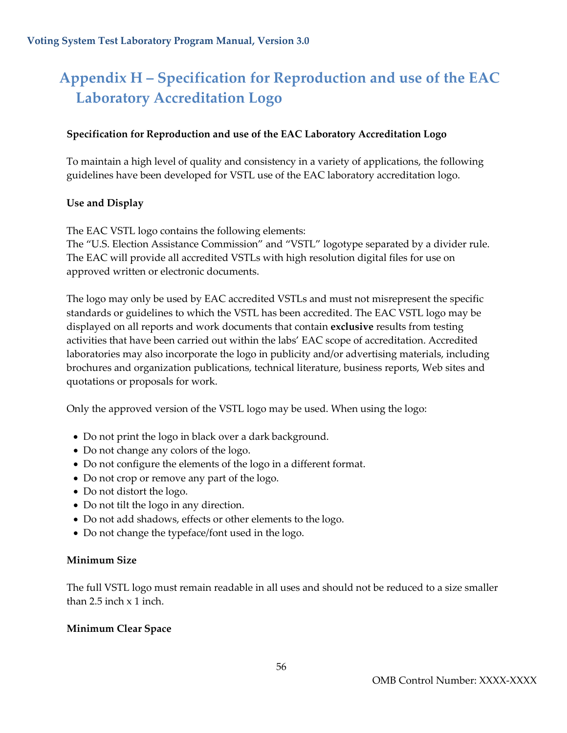### <span id="page-56-0"></span>**Appendix H – Specification for Reproduction and use of the EAC Laboratory Accreditation Logo**

#### **Specification for Reproduction and use of the EAC Laboratory Accreditation Logo**

To maintain a high level of quality and consistency in a variety of applications, the following guidelines have been developed for VSTL use of the EAC laboratory accreditation logo.

#### **Use and Display**

The EAC VSTL logo contains the following elements:

The "U.S. Election Assistance Commission" and "VSTL" logotype separated by a divider rule. The EAC will provide all accredited VSTLs with high resolution digital files for use on approved written or electronic documents.

The logo may only be used by EAC accredited VSTLs and must not misrepresent the specific standards or guidelines to which the VSTL has been accredited. The EAC VSTL logo may be displayed on all reports and work documents that contain **exclusive** results from testing activities that have been carried out within the labs' EAC scope of accreditation. Accredited laboratories may also incorporate the logo in publicity and/or advertising materials, including brochures and organization publications, technical literature, business reports, Web sites and quotations or proposals for work.

Only the approved version of the VSTL logo may be used. When using the logo:

- Do not print the logo in black over a dark background.
- Do not change any colors of the logo.
- Do not configure the elements of the logo in a different format.
- Do not crop or remove any part of the logo.
- Do not distort the logo.
- Do not tilt the logo in any direction.
- Do not add shadows, effects or other elements to the logo.
- Do not change the typeface/font used in the logo.

#### **Minimum Size**

The full VSTL logo must remain readable in all uses and should not be reduced to a size smaller than 2.5 inch  $\times$  1 inch.

#### **Minimum Clear Space**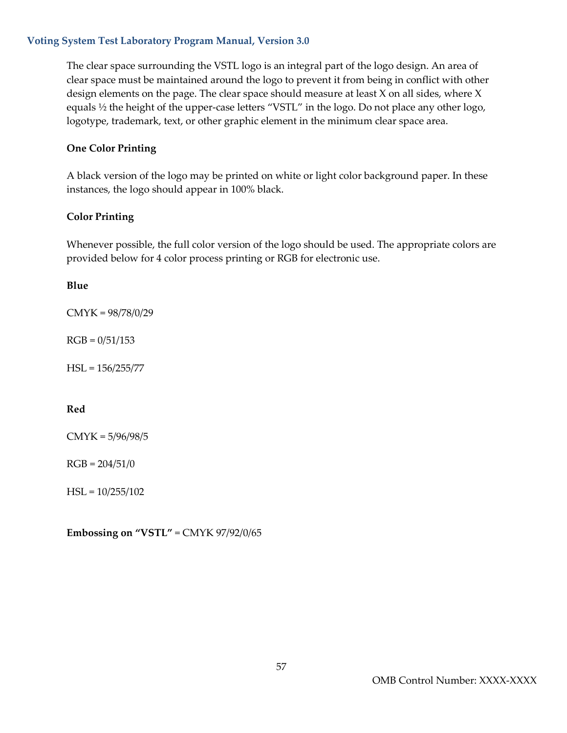The clear space surrounding the VSTL logo is an integral part of the logo design. An area of clear space must be maintained around the logo to prevent it from being in conflict with other design elements on the page. The clear space should measure at least X on all sides, where X equals ½ the height of the upper-case letters "VSTL" in the logo. Do not place any other logo, logotype, trademark, text, or other graphic element in the minimum clear space area.

#### **One Color Printing**

A black version of the logo may be printed on white or light color background paper. In these instances, the logo should appear in 100% black.

#### **Color Printing**

Whenever possible, the full color version of the logo should be used. The appropriate colors are provided below for 4 color process printing or RGB for electronic use.

#### **Blue**

CMYK = 98/78/0/29

 $RGB = 0/51/153$ 

HSL = 156/255/77

#### **Red**

CMYK = 5/96/98/5

 $RGB = 204/51/0$ 

 $HSL = 10/255/102$ 

**Embossing on "VSTL"** = CMYK 97/92/0/65